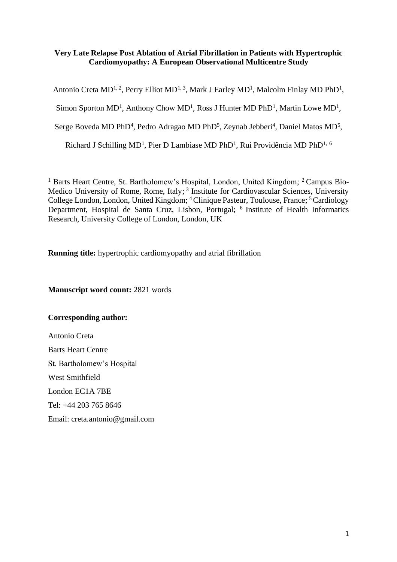# **Very Late Relapse Post Ablation of Atrial Fibrillation in Patients with Hypertrophic Cardiomyopathy: A European Observational Multicentre Study**

Antonio Creta MD<sup>1, 2</sup>, Perry Elliot MD<sup>1, 3</sup>, Mark J Earley MD<sup>1</sup>, Malcolm Finlay MD PhD<sup>1</sup>,

Simon Sporton MD<sup>1</sup>, Anthony Chow MD<sup>1</sup>, Ross J Hunter MD PhD<sup>1</sup>, Martin Lowe MD<sup>1</sup>,

Serge Boveda MD PhD<sup>4</sup>, Pedro Adragao MD PhD<sup>5</sup>, Zeynab Jebberi<sup>4</sup>, Daniel Matos MD<sup>5</sup>,

Richard J Schilling MD<sup>1</sup>, Pier D Lambiase MD PhD<sup>1</sup>, Rui Providência MD PhD<sup>1, 6</sup>

<sup>1</sup> Barts Heart Centre, St. Bartholomew's Hospital, London, United Kingdom; <sup>2</sup> Campus Bio-Medico University of Rome, Rome, Italy;<sup>3</sup> Institute for Cardiovascular Sciences, University College London, London, United Kingdom; <sup>4</sup> Clinique Pasteur, Toulouse, France; <sup>5</sup> Cardiology Department, Hospital de Santa Cruz, Lisbon, Portugal; <sup>6</sup> Institute of Health Informatics Research, University College of London, London, UK

**Running title:** hypertrophic cardiomyopathy and atrial fibrillation

**Manuscript word count:** 2821 words

# **Corresponding author:**

Antonio Creta Barts Heart Centre St. Bartholomew's Hospital West Smithfield London EC1A 7BE Tel: +44 203 765 8646 Email: creta.antonio@gmail.com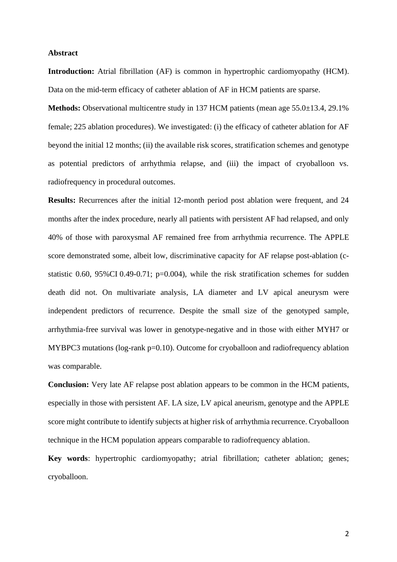## **Abstract**

**Introduction:** Atrial fibrillation (AF) is common in hypertrophic cardiomyopathy (HCM). Data on the mid-term efficacy of catheter ablation of AF in HCM patients are sparse.

**Methods:** Observational multicentre study in 137 HCM patients (mean age 55.0±13.4, 29.1% female; 225 ablation procedures). We investigated: (i) the efficacy of catheter ablation for AF beyond the initial 12 months; (ii) the available risk scores, stratification schemes and genotype as potential predictors of arrhythmia relapse, and (iii) the impact of cryoballoon vs. radiofrequency in procedural outcomes.

**Results:** Recurrences after the initial 12-month period post ablation were frequent, and 24 months after the index procedure, nearly all patients with persistent AF had relapsed, and only 40% of those with paroxysmal AF remained free from arrhythmia recurrence. The APPLE score demonstrated some, albeit low, discriminative capacity for AF relapse post-ablation (cstatistic 0.60, 95%CI 0.49-0.71;  $p=0.004$ ), while the risk stratification schemes for sudden death did not. On multivariate analysis, LA diameter and LV apical aneurysm were independent predictors of recurrence. Despite the small size of the genotyped sample, arrhythmia-free survival was lower in genotype-negative and in those with either MYH7 or MYBPC3 mutations (log-rank p=0.10). Outcome for cryoballoon and radiofrequency ablation was comparable.

**Conclusion:** Very late AF relapse post ablation appears to be common in the HCM patients, especially in those with persistent AF. LA size, LV apical aneurism, genotype and the APPLE score might contribute to identify subjects at higher risk of arrhythmia recurrence. Cryoballoon technique in the HCM population appears comparable to radiofrequency ablation.

**Key words**: hypertrophic cardiomyopathy; atrial fibrillation; catheter ablation; genes; cryoballoon.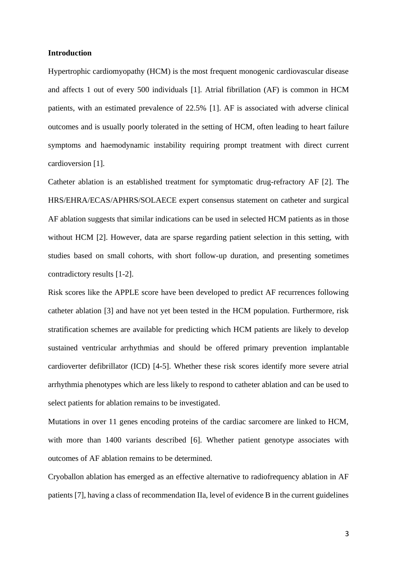## **Introduction**

Hypertrophic cardiomyopathy (HCM) is the most frequent monogenic cardiovascular disease and affects 1 out of every 500 individuals [1]. Atrial fibrillation (AF) is common in HCM patients, with an estimated prevalence of 22.5% [1]. AF is associated with adverse clinical outcomes and is usually poorly tolerated in the setting of HCM, often leading to heart failure symptoms and haemodynamic instability requiring prompt treatment with direct current cardioversion [1].

Catheter ablation is an established treatment for symptomatic drug-refractory AF [2]. The HRS/EHRA/ECAS/APHRS/SOLAECE expert consensus statement on catheter and surgical AF ablation suggests that similar indications can be used in selected HCM patients as in those without HCM [2]. However, data are sparse regarding patient selection in this setting, with studies based on small cohorts, with short follow-up duration, and presenting sometimes contradictory results [1-2].

Risk scores like the APPLE score have been developed to predict AF recurrences following catheter ablation [3] and have not yet been tested in the HCM population. Furthermore, risk stratification schemes are available for predicting which HCM patients are likely to develop sustained ventricular arrhythmias and should be offered primary prevention implantable cardioverter defibrillator (ICD) [4-5]. Whether these risk scores identify more severe atrial arrhythmia phenotypes which are less likely to respond to catheter ablation and can be used to select patients for ablation remains to be investigated.

Mutations in over 11 genes encoding proteins of the cardiac sarcomere are linked to HCM, with more than 1400 variants described [6]. Whether patient genotype associates with outcomes of AF ablation remains to be determined.

Cryoballon ablation has emerged as an effective alternative to radiofrequency ablation in AF patients [7], having a class of recommendation IIa, level of evidence B in the current guidelines

3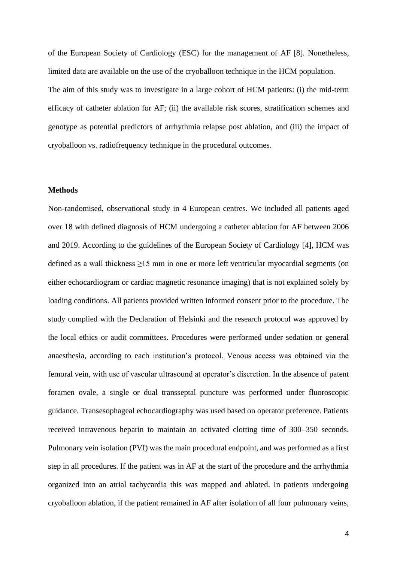of the European Society of Cardiology (ESC) for the management of AF [8]. Nonetheless, limited data are available on the use of the cryoballoon technique in the HCM population. The aim of this study was to investigate in a large cohort of HCM patients: (i) the mid-term efficacy of catheter ablation for AF; (ii) the available risk scores, stratification schemes and genotype as potential predictors of arrhythmia relapse post ablation, and (iii) the impact of cryoballoon vs. radiofrequency technique in the procedural outcomes.

## **Methods**

Non-randomised, observational study in 4 European centres. We included all patients aged over 18 with defined diagnosis of HCM undergoing a catheter ablation for AF between 2006 and 2019. According to the guidelines of the European Society of Cardiology [4], HCM was defined as a wall thickness  $\geq 15$  mm in one or more left ventricular myocardial segments (on either echocardiogram or cardiac magnetic resonance imaging) that is not explained solely by loading conditions. All patients provided written informed consent prior to the procedure. The study complied with the Declaration of Helsinki and the research protocol was approved by the local ethics or audit committees. Procedures were performed under sedation or general anaesthesia, according to each institution's protocol. Venous access was obtained via the femoral vein, with use of vascular ultrasound at operator's discretion. In the absence of patent foramen ovale, a single or dual transseptal puncture was performed under fluoroscopic guidance. Transesophageal echocardiography was used based on operator preference. Patients received intravenous heparin to maintain an activated clotting time of 300–350 seconds. Pulmonary vein isolation (PVI) was the main procedural endpoint, and was performed as a first step in all procedures. If the patient was in AF at the start of the procedure and the arrhythmia organized into an atrial tachycardia this was mapped and ablated. In patients undergoing cryoballoon ablation, if the patient remained in AF after isolation of all four pulmonary veins,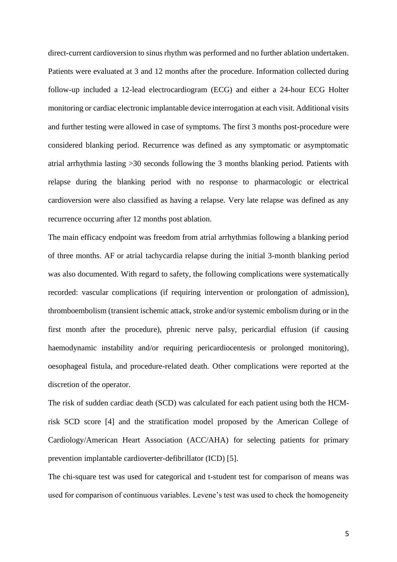direct-current cardioversion to sinus rhythm was performed and no further ablation undertaken. Patients were evaluated at 3 and 12 months after the procedure. Information collected during follow-up included a 12-lead electrocardiogram (ECG) and either a 24-hour ECG Holter monitoring or cardiac electronic implantable device interrogation at each visit. Additional visits and further testing were allowed in case of symptoms. The first 3 months post-procedure were considered blanking period. Recurrence was defined as any symptomatic or asymptomatic atrial arrhythmia lasting >30 seconds following the 3 months blanking period. Patients with relapse during the blanking period with no response to pharmacologic or electrical cardioversion were also classified as having a relapse. Very late relapse was defined as any recurrence occurring after 12 months post ablation.

The main efficacy endpoint was freedom from atrial arrhythmias following a blanking period of three months. AF or atrial tachycardia relapse during the initial 3-month blanking period was also documented. With regard to safety, the following complications were systematically recorded: vascular complications (if requiring intervention or prolongation of admission), thromboembolism (transient ischemic attack, stroke and/or systemic embolism during or in the first month after the procedure), phrenic nerve palsy, pericardial effusion (if causing haemodynamic instability and/or requiring pericardiocentesis or prolonged monitoring), oesophageal fistula, and procedure-related death. Other complications were reported at the discretion of the operator.

The risk of sudden cardiac death (SCD) was calculated for each patient using both the HCMrisk SCD score [4] and the stratification model proposed by the American College of Cardiology/American Heart Association (ACC/AHA) for selecting patients for primary prevention implantable cardioverter-defibrillator (ICD) [5].

The chi-square test was used for categorical and t-student test for comparison of means was used for comparison of continuous variables. Levene's test was used to check the homogeneity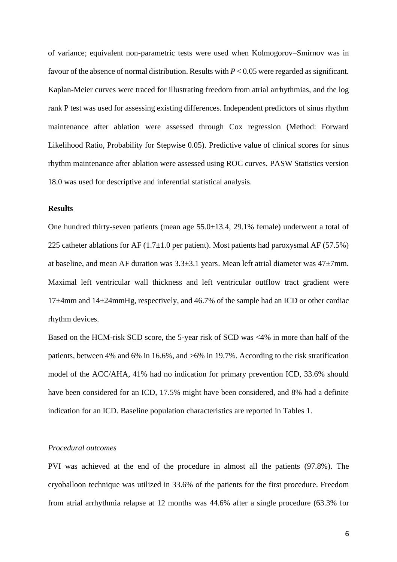of variance; equivalent non-parametric tests were used when Kolmogorov–Smirnov was in favour of the absence of normal distribution. Results with *P* < 0.05 were regarded as significant. Kaplan-Meier curves were traced for illustrating freedom from atrial arrhythmias, and the log rank P test was used for assessing existing differences. Independent predictors of sinus rhythm maintenance after ablation were assessed through Cox regression (Method: Forward Likelihood Ratio, Probability for Stepwise 0.05). Predictive value of clinical scores for sinus rhythm maintenance after ablation were assessed using ROC curves. PASW Statistics version 18.0 was used for descriptive and inferential statistical analysis.

## **Results**

One hundred thirty-seven patients (mean age 55.0±13.4, 29.1% female) underwent a total of 225 catheter ablations for AF  $(1.7\pm1.0$  per patient). Most patients had paroxysmal AF (57.5%) at baseline, and mean AF duration was 3.3±3.1 years. Mean left atrial diameter was 47±7mm. Maximal left ventricular wall thickness and left ventricular outflow tract gradient were 17±4mm and 14±24mmHg, respectively, and 46.7% of the sample had an ICD or other cardiac rhythm devices.

Based on the HCM-risk SCD score, the 5-year risk of SCD was <4% in more than half of the patients, between 4% and 6% in 16.6%, and >6% in 19.7%. According to the risk stratification model of the ACC/AHA, 41% had no indication for primary prevention ICD, 33.6% should have been considered for an ICD, 17.5% might have been considered, and 8% had a definite indication for an ICD. Baseline population characteristics are reported in Tables 1.

## *Procedural outcomes*

PVI was achieved at the end of the procedure in almost all the patients (97.8%). The cryoballoon technique was utilized in 33.6% of the patients for the first procedure. Freedom from atrial arrhythmia relapse at 12 months was 44.6% after a single procedure (63.3% for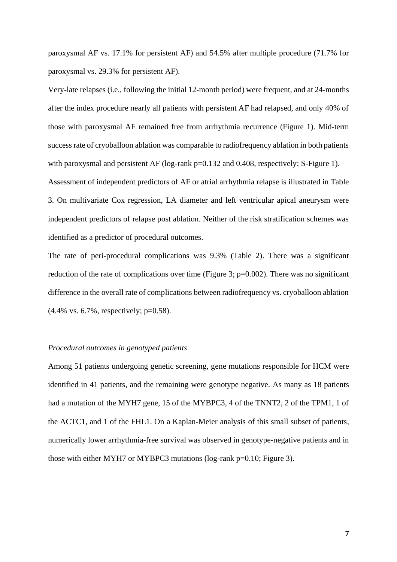paroxysmal AF vs. 17.1% for persistent AF) and 54.5% after multiple procedure (71.7% for paroxysmal vs. 29.3% for persistent AF).

Very-late relapses (i.e., following the initial 12-month period) were frequent, and at 24-months after the index procedure nearly all patients with persistent AF had relapsed, and only 40% of those with paroxysmal AF remained free from arrhythmia recurrence (Figure 1). Mid-term success rate of cryoballoon ablation was comparable to radiofrequency ablation in both patients with paroxysmal and persistent AF (log-rank p=0.132 and 0.408, respectively; S-Figure 1).

Assessment of independent predictors of AF or atrial arrhythmia relapse is illustrated in Table 3. On multivariate Cox regression, LA diameter and left ventricular apical aneurysm were independent predictors of relapse post ablation. Neither of the risk stratification schemes was identified as a predictor of procedural outcomes.

The rate of peri-procedural complications was 9.3% (Table 2). There was a significant reduction of the rate of complications over time (Figure 3;  $p=0.002$ ). There was no significant difference in the overall rate of complications between radiofrequency vs. cryoballoon ablation  $(4.4\% \text{ vs. } 6.7\%$ , respectively; p=0.58).

#### *Procedural outcomes in genotyped patients*

Among 51 patients undergoing genetic screening, gene mutations responsible for HCM were identified in 41 patients, and the remaining were genotype negative. As many as 18 patients had a mutation of the MYH7 gene, 15 of the MYBPC3, 4 of the TNNT2, 2 of the TPM1, 1 of the ACTC1, and 1 of the FHL1. On a Kaplan-Meier analysis of this small subset of patients, numerically lower arrhythmia-free survival was observed in genotype-negative patients and in those with either MYH7 or MYBPC3 mutations (log-rank p=0.10; Figure 3).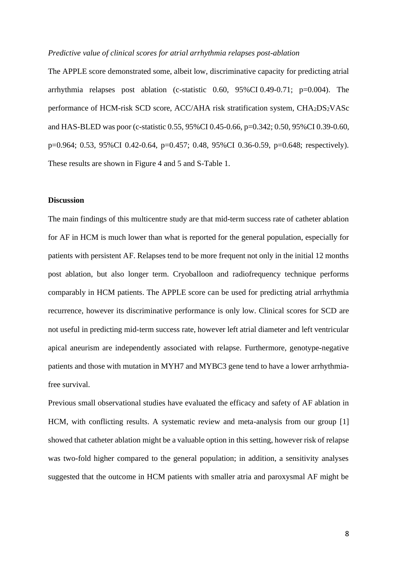#### *Predictive value of clinical scores for atrial arrhythmia relapses post-ablation*

The APPLE score demonstrated some, albeit low, discriminative capacity for predicting atrial arrhythmia relapses post ablation (c-statistic 0.60, 95%CI 0.49-0.71; p=0.004). The performance of HCM-risk SCD score, ACC/AHA risk stratification system, CHA2DS2VASc and HAS-BLED was poor (c-statistic 0.55, 95%CI 0.45-0.66, p=0.342; 0.50, 95%CI 0.39-0.60, p=0.964; 0.53, 95%CI 0.42-0.64, p=0.457; 0.48, 95%CI 0.36-0.59, p=0.648; respectively). These results are shown in Figure 4 and 5 and S-Table 1.

## **Discussion**

The main findings of this multicentre study are that mid-term success rate of catheter ablation for AF in HCM is much lower than what is reported for the general population, especially for patients with persistent AF. Relapses tend to be more frequent not only in the initial 12 months post ablation, but also longer term. Cryoballoon and radiofrequency technique performs comparably in HCM patients. The APPLE score can be used for predicting atrial arrhythmia recurrence, however its discriminative performance is only low. Clinical scores for SCD are not useful in predicting mid-term success rate, however left atrial diameter and left ventricular apical aneurism are independently associated with relapse. Furthermore, genotype-negative patients and those with mutation in MYH7 and MYBC3 gene tend to have a lower arrhythmiafree survival.

Previous small observational studies have evaluated the efficacy and safety of AF ablation in HCM, with conflicting results. A systematic review and meta-analysis from our group [1] showed that catheter ablation might be a valuable option in this setting, however risk of relapse was two-fold higher compared to the general population; in addition, a sensitivity analyses suggested that the outcome in HCM patients with smaller atria and paroxysmal AF might be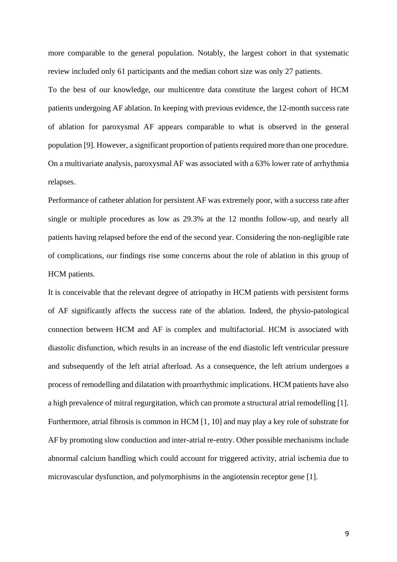more comparable to the general population. Notably, the largest cohort in that systematic review included only 61 participants and the median cohort size was only 27 patients.

To the best of our knowledge, our multicentre data constitute the largest cohort of HCM patients undergoing AF ablation. In keeping with previous evidence, the 12-month success rate of ablation for paroxysmal AF appears comparable to what is observed in the general population [9]. However, a significant proportion of patients required more than one procedure. On a multivariate analysis, paroxysmal AF was associated with a 63% lower rate of arrhythmia relapses.

Performance of catheter ablation for persistent AF was extremely poor, with a success rate after single or multiple procedures as low as 29.3% at the 12 months follow-up, and nearly all patients having relapsed before the end of the second year. Considering the non-negligible rate of complications, our findings rise some concerns about the role of ablation in this group of HCM patients.

It is conceivable that the relevant degree of atriopathy in HCM patients with persistent forms of AF significantly affects the success rate of the ablation. Indeed, the physio-patological connection between HCM and AF is complex and multifactorial. HCM is associated with diastolic disfunction, which results in an increase of the end diastolic left ventricular pressure and subsequently of the left atrial afterload. As a consequence, the left atrium undergoes a process of remodelling and dilatation with proarrhythmic implications. HCM patients have also a high prevalence of mitral regurgitation, which can promote a structural atrial remodelling [1]. Furthermore, atrial fibrosis is common in HCM [1, 10] and may play a key role of substrate for AF by promoting slow conduction and inter-atrial re-entry. Other possible mechanisms include abnormal calcium handling which could account for triggered activity, atrial ischemia due to microvascular dysfunction, and polymorphisms in the angiotensin receptor gene [1].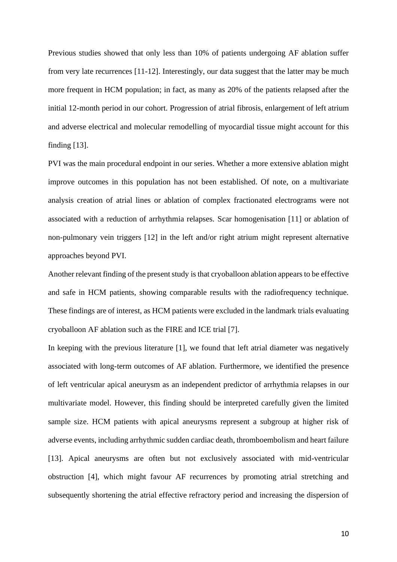Previous studies showed that only less than 10% of patients undergoing AF ablation suffer from very late recurrences [11-12]. Interestingly, our data suggest that the latter may be much more frequent in HCM population; in fact, as many as 20% of the patients relapsed after the initial 12-month period in our cohort. Progression of atrial fibrosis, enlargement of left atrium and adverse electrical and molecular remodelling of myocardial tissue might account for this finding [13].

PVI was the main procedural endpoint in our series. Whether a more extensive ablation might improve outcomes in this population has not been established. Of note, on a multivariate analysis creation of atrial lines or ablation of complex fractionated electrograms were not associated with a reduction of arrhythmia relapses. Scar homogenisation [11] or ablation of non-pulmonary vein triggers [12] in the left and/or right atrium might represent alternative approaches beyond PVI.

Another relevant finding of the present study is that cryoballoon ablation appears to be effective and safe in HCM patients, showing comparable results with the radiofrequency technique. These findings are of interest, as HCM patients were excluded in the landmark trials evaluating cryoballoon AF ablation such as the FIRE and ICE trial [7].

In keeping with the previous literature [1], we found that left atrial diameter was negatively associated with long-term outcomes of AF ablation. Furthermore, we identified the presence of left ventricular apical aneurysm as an independent predictor of arrhythmia relapses in our multivariate model. However, this finding should be interpreted carefully given the limited sample size. HCM patients with apical aneurysms represent a subgroup at higher risk of adverse events, including arrhythmic sudden cardiac death, thromboembolism and heart failure [13]. Apical aneurysms are often but not exclusively associated with mid-ventricular obstruction [4], which might favour AF recurrences by promoting atrial stretching and subsequently shortening the atrial effective refractory period and increasing the dispersion of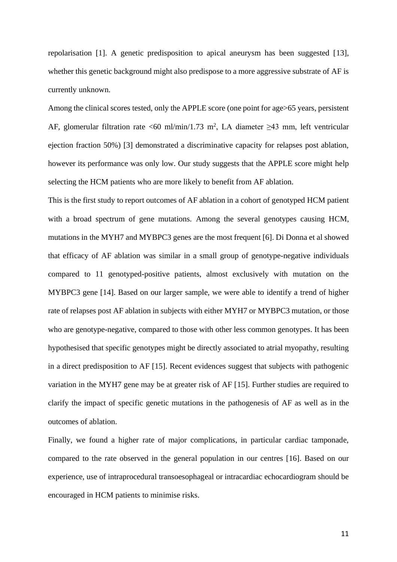repolarisation [1]. A genetic predisposition to apical aneurysm has been suggested [13], whether this genetic background might also predispose to a more aggressive substrate of AF is currently unknown.

Among the clinical scores tested, only the APPLE score (one point for age>65 years, persistent AF, glomerular filtration rate <60 ml/min/1.73 m<sup>2</sup>, LA diameter  $\geq$ 43 mm, left ventricular ejection fraction 50%) [3] demonstrated a discriminative capacity for relapses post ablation, however its performance was only low. Our study suggests that the APPLE score might help selecting the HCM patients who are more likely to benefit from AF ablation.

This is the first study to report outcomes of AF ablation in a cohort of genotyped HCM patient with a broad spectrum of gene mutations. Among the several genotypes causing HCM, mutations in the MYH7 and MYBPC3 genes are the most frequent [6]. Di Donna et al showed that efficacy of AF ablation was similar in a small group of genotype-negative individuals compared to 11 genotyped-positive patients, almost exclusively with mutation on the MYBPC3 gene [14]. Based on our larger sample, we were able to identify a trend of higher rate of relapses post AF ablation in subjects with either MYH7 or MYBPC3 mutation, or those who are genotype-negative, compared to those with other less common genotypes. It has been hypothesised that specific genotypes might be directly associated to atrial myopathy, resulting in a direct predisposition to AF [15]. Recent evidences suggest that subjects with pathogenic variation in the MYH7 gene may be at greater risk of AF [15]. Further studies are required to clarify the impact of specific genetic mutations in the pathogenesis of AF as well as in the outcomes of ablation.

Finally, we found a higher rate of major complications, in particular cardiac tamponade, compared to the rate observed in the general population in our centres [16]. Based on our experience, use of intraprocedural transoesophageal or intracardiac echocardiogram should be encouraged in HCM patients to minimise risks.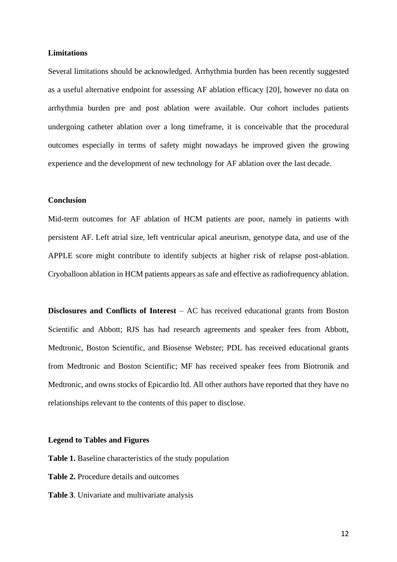## **Limitations**

Several limitations should be acknowledged. Arrhythmia burden has been recently suggested as a useful alternative endpoint for assessing AF ablation efficacy [20], however no data on arrhythmia burden pre and post ablation were available. Our cohort includes patients undergoing catheter ablation over a long timeframe, it is conceivable that the procedural outcomes especially in terms of safety might nowadays be improved given the growing experience and the development of new technology for AF ablation over the last decade.

## **Conclusion**

Mid-term outcomes for AF ablation of HCM patients are poor, namely in patients with persistent AF. Left atrial size, left ventricular apical aneurism, genotype data, and use of the APPLE score might contribute to identify subjects at higher risk of relapse post-ablation. Cryoballoon ablation in HCM patients appears as safe and effective as radiofrequency ablation.

**Disclosures and Conflicts of Interest** – AC has received educational grants from Boston Scientific and Abbott; RJS has had research agreements and speaker fees from Abbott, Medtronic, Boston Scientific, and Biosense Webster; PDL has received educational grants from Medtronic and Boston Scientific; MF has received speaker fees from Biotronik and Medtronic, and owns stocks of Epicardio ltd. All other authors have reported that they have no relationships relevant to the contents of this paper to disclose.

## **Legend to Tables and Figures**

**Table 1.** Baseline characteristics of the study population

- **Table 2.** Procedure details and outcomes
- **Table 3**. Univariate and multivariate analysis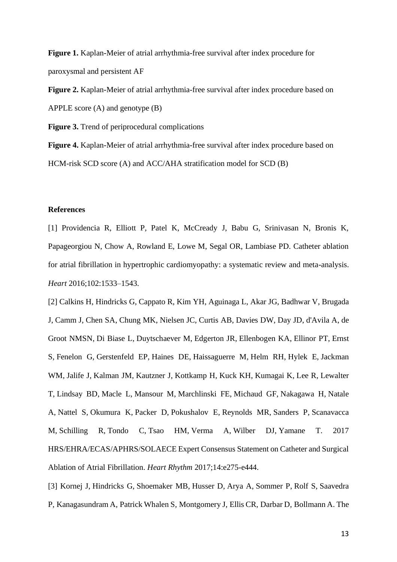**Figure 1.** Kaplan-Meier of atrial arrhythmia-free survival after index procedure for paroxysmal and persistent AF

**Figure 2.** Kaplan-Meier of atrial arrhythmia-free survival after index procedure based on APPLE score (A) and genotype (B)

**Figure 3.** Trend of periprocedural complications

**Figure 4.** Kaplan-Meier of atrial arrhythmia-free survival after index procedure based on HCM-risk SCD score (A) and ACC/AHA stratification model for SCD (B)

## **References**

[1] Providencia R, Elliott P, Patel K, McCready J, Babu G, Srinivasan N, Bronis K, Papageorgiou N, Chow A, Rowland E, Lowe M, Segal OR, Lambiase PD. Catheter ablation for atrial fibrillation in hypertrophic cardiomyopathy: a systematic review and meta-analysis. *Heart* 2016;102:1533–1543.

[2] [Calkins H,](https://www.ncbi.nlm.nih.gov/pubmed/?term=Calkins%20H%5BAuthor%5D&cauthor=true&cauthor_uid=28506916) [Hindricks G,](https://www.ncbi.nlm.nih.gov/pubmed/?term=Hindricks%20G%5BAuthor%5D&cauthor=true&cauthor_uid=28506916) [Cappato R,](https://www.ncbi.nlm.nih.gov/pubmed/?term=Cappato%20R%5BAuthor%5D&cauthor=true&cauthor_uid=28506916) [Kim YH,](https://www.ncbi.nlm.nih.gov/pubmed/?term=Kim%20YH%5BAuthor%5D&cauthor=true&cauthor_uid=28506916) [Aguinaga L,](https://www.ncbi.nlm.nih.gov/pubmed/?term=Aguinaga%20L%5BAuthor%5D&cauthor=true&cauthor_uid=28506916) [Akar JG,](https://www.ncbi.nlm.nih.gov/pubmed/?term=Akar%20JG%5BAuthor%5D&cauthor=true&cauthor_uid=28506916) [Badhwar V,](https://www.ncbi.nlm.nih.gov/pubmed/?term=Badhwar%20V%5BAuthor%5D&cauthor=true&cauthor_uid=28506916) [Brugada](https://www.ncbi.nlm.nih.gov/pubmed/?term=Brugada%20J%5BAuthor%5D&cauthor=true&cauthor_uid=28506916)  [J,](https://www.ncbi.nlm.nih.gov/pubmed/?term=Brugada%20J%5BAuthor%5D&cauthor=true&cauthor_uid=28506916) [Camm J,](https://www.ncbi.nlm.nih.gov/pubmed/?term=Camm%20J%5BAuthor%5D&cauthor=true&cauthor_uid=28506916) [Chen SA,](https://www.ncbi.nlm.nih.gov/pubmed/?term=Chen%20SA%5BAuthor%5D&cauthor=true&cauthor_uid=28506916) [Chung MK,](https://www.ncbi.nlm.nih.gov/pubmed/?term=Chung%20MK%5BAuthor%5D&cauthor=true&cauthor_uid=28506916) [Nielsen JC,](https://www.ncbi.nlm.nih.gov/pubmed/?term=Nielsen%20JC%5BAuthor%5D&cauthor=true&cauthor_uid=28506916) [Curtis AB,](https://www.ncbi.nlm.nih.gov/pubmed/?term=Curtis%20AB%5BAuthor%5D&cauthor=true&cauthor_uid=28506916) [Davies DW,](https://www.ncbi.nlm.nih.gov/pubmed/?term=Davies%20DW%5BAuthor%5D&cauthor=true&cauthor_uid=28506916) [Day JD,](https://www.ncbi.nlm.nih.gov/pubmed/?term=Day%20JD%5BAuthor%5D&cauthor=true&cauthor_uid=28506916) [d'Avila A,](https://www.ncbi.nlm.nih.gov/pubmed/?term=d) [de](https://www.ncbi.nlm.nih.gov/pubmed/?term=de%20Groot%20NMSN%5BAuthor%5D&cauthor=true&cauthor_uid=28506916)  [Groot NMSN,](https://www.ncbi.nlm.nih.gov/pubmed/?term=de%20Groot%20NMSN%5BAuthor%5D&cauthor=true&cauthor_uid=28506916) [Di Biase L,](https://www.ncbi.nlm.nih.gov/pubmed/?term=Di%20Biase%20L%5BAuthor%5D&cauthor=true&cauthor_uid=28506916) [Duytschaever M,](https://www.ncbi.nlm.nih.gov/pubmed/?term=Duytschaever%20M%5BAuthor%5D&cauthor=true&cauthor_uid=28506916) [Edgerton JR,](https://www.ncbi.nlm.nih.gov/pubmed/?term=Edgerton%20JR%5BAuthor%5D&cauthor=true&cauthor_uid=28506916) [Ellenbogen KA,](https://www.ncbi.nlm.nih.gov/pubmed/?term=Ellenbogen%20KA%5BAuthor%5D&cauthor=true&cauthor_uid=28506916) [Ellinor PT,](https://www.ncbi.nlm.nih.gov/pubmed/?term=Ellinor%20PT%5BAuthor%5D&cauthor=true&cauthor_uid=28506916) [Ernst](https://www.ncbi.nlm.nih.gov/pubmed/?term=Ernst%20S%5BAuthor%5D&cauthor=true&cauthor_uid=28506916)  [S,](https://www.ncbi.nlm.nih.gov/pubmed/?term=Ernst%20S%5BAuthor%5D&cauthor=true&cauthor_uid=28506916) [Fenelon G,](https://www.ncbi.nlm.nih.gov/pubmed/?term=Fenelon%20G%5BAuthor%5D&cauthor=true&cauthor_uid=28506916) [Gerstenfeld EP,](https://www.ncbi.nlm.nih.gov/pubmed/?term=Gerstenfeld%20EP%5BAuthor%5D&cauthor=true&cauthor_uid=28506916) [Haines DE,](https://www.ncbi.nlm.nih.gov/pubmed/?term=Haines%20DE%5BAuthor%5D&cauthor=true&cauthor_uid=28506916) [Haissaguerre M,](https://www.ncbi.nlm.nih.gov/pubmed/?term=Haissaguerre%20M%5BAuthor%5D&cauthor=true&cauthor_uid=28506916) [Helm RH,](https://www.ncbi.nlm.nih.gov/pubmed/?term=Helm%20RH%5BAuthor%5D&cauthor=true&cauthor_uid=28506916) [Hylek](https://www.ncbi.nlm.nih.gov/pubmed/?term=Hylek%20E%5BAuthor%5D&cauthor=true&cauthor_uid=28506916) E, [Jackman](https://www.ncbi.nlm.nih.gov/pubmed/?term=Jackman%20WM%5BAuthor%5D&cauthor=true&cauthor_uid=28506916)  [WM,](https://www.ncbi.nlm.nih.gov/pubmed/?term=Jackman%20WM%5BAuthor%5D&cauthor=true&cauthor_uid=28506916) [Jalife J,](https://www.ncbi.nlm.nih.gov/pubmed/?term=Jalife%20J%5BAuthor%5D&cauthor=true&cauthor_uid=28506916) [Kalman JM,](https://www.ncbi.nlm.nih.gov/pubmed/?term=Kalman%20JM%5BAuthor%5D&cauthor=true&cauthor_uid=28506916) [Kautzner J,](https://www.ncbi.nlm.nih.gov/pubmed/?term=Kautzner%20J%5BAuthor%5D&cauthor=true&cauthor_uid=28506916) [Kottkamp H,](https://www.ncbi.nlm.nih.gov/pubmed/?term=Kottkamp%20H%5BAuthor%5D&cauthor=true&cauthor_uid=28506916) [Kuck KH,](https://www.ncbi.nlm.nih.gov/pubmed/?term=Kuck%20KH%5BAuthor%5D&cauthor=true&cauthor_uid=28506916) [Kumagai K,](https://www.ncbi.nlm.nih.gov/pubmed/?term=Kumagai%20K%5BAuthor%5D&cauthor=true&cauthor_uid=28506916) [Lee R,](https://www.ncbi.nlm.nih.gov/pubmed/?term=Lee%20R%5BAuthor%5D&cauthor=true&cauthor_uid=28506916) [Lewalter](https://www.ncbi.nlm.nih.gov/pubmed/?term=Lewalter%20T%5BAuthor%5D&cauthor=true&cauthor_uid=28506916)  [T,](https://www.ncbi.nlm.nih.gov/pubmed/?term=Lewalter%20T%5BAuthor%5D&cauthor=true&cauthor_uid=28506916) [Lindsay BD,](https://www.ncbi.nlm.nih.gov/pubmed/?term=Lindsay%20BD%5BAuthor%5D&cauthor=true&cauthor_uid=28506916) [Macle L,](https://www.ncbi.nlm.nih.gov/pubmed/?term=Macle%20L%5BAuthor%5D&cauthor=true&cauthor_uid=28506916) [Mansour M,](https://www.ncbi.nlm.nih.gov/pubmed/?term=Mansour%20M%5BAuthor%5D&cauthor=true&cauthor_uid=28506916) [Marchlinski FE,](https://www.ncbi.nlm.nih.gov/pubmed/?term=Marchlinski%20FE%5BAuthor%5D&cauthor=true&cauthor_uid=28506916) [Michaud GF,](https://www.ncbi.nlm.nih.gov/pubmed/?term=Michaud%20GF%5BAuthor%5D&cauthor=true&cauthor_uid=28506916) [Nakagawa H,](https://www.ncbi.nlm.nih.gov/pubmed/?term=Nakagawa%20H%5BAuthor%5D&cauthor=true&cauthor_uid=28506916) [Natale](https://www.ncbi.nlm.nih.gov/pubmed/?term=Natale%20A%5BAuthor%5D&cauthor=true&cauthor_uid=28506916)  [A,](https://www.ncbi.nlm.nih.gov/pubmed/?term=Natale%20A%5BAuthor%5D&cauthor=true&cauthor_uid=28506916) [Nattel S,](https://www.ncbi.nlm.nih.gov/pubmed/?term=Nattel%20S%5BAuthor%5D&cauthor=true&cauthor_uid=28506916) [Okumura K,](https://www.ncbi.nlm.nih.gov/pubmed/?term=Okumura%20K%5BAuthor%5D&cauthor=true&cauthor_uid=28506916) [Packer D,](https://www.ncbi.nlm.nih.gov/pubmed/?term=Packer%20D%5BAuthor%5D&cauthor=true&cauthor_uid=28506916) [Pokushalov E,](https://www.ncbi.nlm.nih.gov/pubmed/?term=Pokushalov%20E%5BAuthor%5D&cauthor=true&cauthor_uid=28506916) [Reynolds MR,](https://www.ncbi.nlm.nih.gov/pubmed/?term=Reynolds%20MR%5BAuthor%5D&cauthor=true&cauthor_uid=28506916) [Sanders P,](https://www.ncbi.nlm.nih.gov/pubmed/?term=Sanders%20P%5BAuthor%5D&cauthor=true&cauthor_uid=28506916) [Scanavacca](https://www.ncbi.nlm.nih.gov/pubmed/?term=Scanavacca%20M%5BAuthor%5D&cauthor=true&cauthor_uid=28506916)  [M,](https://www.ncbi.nlm.nih.gov/pubmed/?term=Scanavacca%20M%5BAuthor%5D&cauthor=true&cauthor_uid=28506916) [Schilling R,](https://www.ncbi.nlm.nih.gov/pubmed/?term=Schilling%20R%5BAuthor%5D&cauthor=true&cauthor_uid=28506916) [Tondo C,](https://www.ncbi.nlm.nih.gov/pubmed/?term=Tondo%20C%5BAuthor%5D&cauthor=true&cauthor_uid=28506916) [Tsao HM,](https://www.ncbi.nlm.nih.gov/pubmed/?term=Tsao%20HM%5BAuthor%5D&cauthor=true&cauthor_uid=28506916) [Verma A,](https://www.ncbi.nlm.nih.gov/pubmed/?term=Verma%20A%5BAuthor%5D&cauthor=true&cauthor_uid=28506916) [Wilber DJ,](https://www.ncbi.nlm.nih.gov/pubmed/?term=Wilber%20DJ%5BAuthor%5D&cauthor=true&cauthor_uid=28506916) [Yamane T.](https://www.ncbi.nlm.nih.gov/pubmed/?term=Yamane%20T%5BAuthor%5D&cauthor=true&cauthor_uid=28506916) 2017 HRS/EHRA/ECAS/APHRS/SOLAECE Expert Consensus Statement on Catheter and Surgical Ablation of Atrial Fibrillation. *[Heart Rhythm](https://www.ncbi.nlm.nih.gov/pubmed/28506916)* 2017;14:e275-e444.

[3] [Kornej J,](https://www.ncbi.nlm.nih.gov/pubmed/?term=Kornej%20J%5BAuthor%5D&cauthor=true&cauthor_uid=25876528) [Hindricks G,](https://www.ncbi.nlm.nih.gov/pubmed/?term=Hindricks%20G%5BAuthor%5D&cauthor=true&cauthor_uid=25876528) [Shoemaker MB,](https://www.ncbi.nlm.nih.gov/pubmed/?term=Shoemaker%20MB%5BAuthor%5D&cauthor=true&cauthor_uid=25876528) [Husser D,](https://www.ncbi.nlm.nih.gov/pubmed/?term=Husser%20D%5BAuthor%5D&cauthor=true&cauthor_uid=25876528) [Arya A,](https://www.ncbi.nlm.nih.gov/pubmed/?term=Arya%20A%5BAuthor%5D&cauthor=true&cauthor_uid=25876528) [Sommer P,](https://www.ncbi.nlm.nih.gov/pubmed/?term=Sommer%20P%5BAuthor%5D&cauthor=true&cauthor_uid=25876528) [Rolf S,](https://www.ncbi.nlm.nih.gov/pubmed/?term=Rolf%20S%5BAuthor%5D&cauthor=true&cauthor_uid=25876528) [Saavedra](https://www.ncbi.nlm.nih.gov/pubmed/?term=Saavedra%20P%5BAuthor%5D&cauthor=true&cauthor_uid=25876528)  [P,](https://www.ncbi.nlm.nih.gov/pubmed/?term=Saavedra%20P%5BAuthor%5D&cauthor=true&cauthor_uid=25876528) [Kanagasundram A,](https://www.ncbi.nlm.nih.gov/pubmed/?term=Kanagasundram%20A%5BAuthor%5D&cauthor=true&cauthor_uid=25876528) [Patrick Whalen S,](https://www.ncbi.nlm.nih.gov/pubmed/?term=Patrick%20Whalen%20S%5BAuthor%5D&cauthor=true&cauthor_uid=25876528) [Montgomery J,](https://www.ncbi.nlm.nih.gov/pubmed/?term=Montgomery%20J%5BAuthor%5D&cauthor=true&cauthor_uid=25876528) [Ellis CR,](https://www.ncbi.nlm.nih.gov/pubmed/?term=Ellis%20CR%5BAuthor%5D&cauthor=true&cauthor_uid=25876528) [Darbar D,](https://www.ncbi.nlm.nih.gov/pubmed/?term=Darbar%20D%5BAuthor%5D&cauthor=true&cauthor_uid=25876528) [Bollmann A.](https://www.ncbi.nlm.nih.gov/pubmed/?term=Bollmann%20A%5BAuthor%5D&cauthor=true&cauthor_uid=25876528) The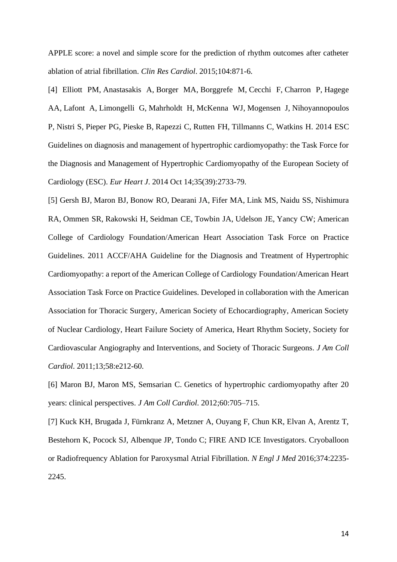APPLE score: a novel and simple score for the prediction of rhythm outcomes after catheter ablation of atrial fibrillation. *[Clin Res Cardiol](https://www.ncbi.nlm.nih.gov/pubmed/25876528)*. 2015;104:871-6.

[4] [Elliott PM,](https://www.ncbi.nlm.nih.gov/pubmed/?term=Elliott%20PM%5BAuthor%5D&cauthor=true&cauthor_uid=25173338) [Anastasakis A,](https://www.ncbi.nlm.nih.gov/pubmed/?term=Anastasakis%20A%5BAuthor%5D&cauthor=true&cauthor_uid=25173338) [Borger MA,](https://www.ncbi.nlm.nih.gov/pubmed/?term=Borger%20MA%5BAuthor%5D&cauthor=true&cauthor_uid=25173338) [Borggrefe M,](https://www.ncbi.nlm.nih.gov/pubmed/?term=Borggrefe%20M%5BAuthor%5D&cauthor=true&cauthor_uid=25173338) [Cecchi F,](https://www.ncbi.nlm.nih.gov/pubmed/?term=Cecchi%20F%5BAuthor%5D&cauthor=true&cauthor_uid=25173338) [Charron P,](https://www.ncbi.nlm.nih.gov/pubmed/?term=Charron%20P%5BAuthor%5D&cauthor=true&cauthor_uid=25173338) [Hagege](https://www.ncbi.nlm.nih.gov/pubmed/?term=Hagege%20AA%5BAuthor%5D&cauthor=true&cauthor_uid=25173338)  [AA,](https://www.ncbi.nlm.nih.gov/pubmed/?term=Hagege%20AA%5BAuthor%5D&cauthor=true&cauthor_uid=25173338) [Lafont A,](https://www.ncbi.nlm.nih.gov/pubmed/?term=Lafont%20A%5BAuthor%5D&cauthor=true&cauthor_uid=25173338) [Limongelli G,](https://www.ncbi.nlm.nih.gov/pubmed/?term=Limongelli%20G%5BAuthor%5D&cauthor=true&cauthor_uid=25173338) [Mahrholdt H,](https://www.ncbi.nlm.nih.gov/pubmed/?term=Mahrholdt%20H%5BAuthor%5D&cauthor=true&cauthor_uid=25173338) [McKenna WJ,](https://www.ncbi.nlm.nih.gov/pubmed/?term=McKenna%20WJ%5BAuthor%5D&cauthor=true&cauthor_uid=25173338) [Mogensen J,](https://www.ncbi.nlm.nih.gov/pubmed/?term=Mogensen%20J%5BAuthor%5D&cauthor=true&cauthor_uid=25173338) [Nihoyannopoulos](https://www.ncbi.nlm.nih.gov/pubmed/?term=Nihoyannopoulos%20P%5BAuthor%5D&cauthor=true&cauthor_uid=25173338)  [P,](https://www.ncbi.nlm.nih.gov/pubmed/?term=Nihoyannopoulos%20P%5BAuthor%5D&cauthor=true&cauthor_uid=25173338) [Nistri S,](https://www.ncbi.nlm.nih.gov/pubmed/?term=Nistri%20S%5BAuthor%5D&cauthor=true&cauthor_uid=25173338) [Pieper PG,](https://www.ncbi.nlm.nih.gov/pubmed/?term=Pieper%20PG%5BAuthor%5D&cauthor=true&cauthor_uid=25173338) [Pieske B,](https://www.ncbi.nlm.nih.gov/pubmed/?term=Pieske%20B%5BAuthor%5D&cauthor=true&cauthor_uid=25173338) [Rapezzi C,](https://www.ncbi.nlm.nih.gov/pubmed/?term=Rapezzi%20C%5BAuthor%5D&cauthor=true&cauthor_uid=25173338) [Rutten FH,](https://www.ncbi.nlm.nih.gov/pubmed/?term=Rutten%20FH%5BAuthor%5D&cauthor=true&cauthor_uid=25173338) [Tillmanns C,](https://www.ncbi.nlm.nih.gov/pubmed/?term=Tillmanns%20C%5BAuthor%5D&cauthor=true&cauthor_uid=25173338) [Watkins H.](https://www.ncbi.nlm.nih.gov/pubmed/?term=Watkins%20H%5BAuthor%5D&cauthor=true&cauthor_uid=25173338) 2014 ESC Guidelines on diagnosis and management of hypertrophic cardiomyopathy: the Task Force for the Diagnosis and Management of Hypertrophic Cardiomyopathy of the European Society of Cardiology (ESC). *[Eur Heart J](https://www.ncbi.nlm.nih.gov/pubmed/25173338)*. 2014 Oct 14;35(39):2733-79.

[5] [Gersh BJ,](https://www.ncbi.nlm.nih.gov/pubmed/?term=Gersh%20BJ%5BAuthor%5D&cauthor=true&cauthor_uid=22075469) [Maron BJ,](https://www.ncbi.nlm.nih.gov/pubmed/?term=Maron%20BJ%5BAuthor%5D&cauthor=true&cauthor_uid=22075469) [Bonow RO,](https://www.ncbi.nlm.nih.gov/pubmed/?term=Bonow%20RO%5BAuthor%5D&cauthor=true&cauthor_uid=22075469) [Dearani JA,](https://www.ncbi.nlm.nih.gov/pubmed/?term=Dearani%20JA%5BAuthor%5D&cauthor=true&cauthor_uid=22075469) [Fifer MA,](https://www.ncbi.nlm.nih.gov/pubmed/?term=Fifer%20MA%5BAuthor%5D&cauthor=true&cauthor_uid=22075469) [Link MS,](https://www.ncbi.nlm.nih.gov/pubmed/?term=Link%20MS%5BAuthor%5D&cauthor=true&cauthor_uid=22075469) [Naidu SS,](https://www.ncbi.nlm.nih.gov/pubmed/?term=Naidu%20SS%5BAuthor%5D&cauthor=true&cauthor_uid=22075469) [Nishimura](https://www.ncbi.nlm.nih.gov/pubmed/?term=Nishimura%20RA%5BAuthor%5D&cauthor=true&cauthor_uid=22075469)  [RA,](https://www.ncbi.nlm.nih.gov/pubmed/?term=Nishimura%20RA%5BAuthor%5D&cauthor=true&cauthor_uid=22075469) [Ommen SR,](https://www.ncbi.nlm.nih.gov/pubmed/?term=Ommen%20SR%5BAuthor%5D&cauthor=true&cauthor_uid=22075469) [Rakowski H,](https://www.ncbi.nlm.nih.gov/pubmed/?term=Rakowski%20H%5BAuthor%5D&cauthor=true&cauthor_uid=22075469) [Seidman CE,](https://www.ncbi.nlm.nih.gov/pubmed/?term=Seidman%20CE%5BAuthor%5D&cauthor=true&cauthor_uid=22075469) [Towbin JA,](https://www.ncbi.nlm.nih.gov/pubmed/?term=Towbin%20JA%5BAuthor%5D&cauthor=true&cauthor_uid=22075469) [Udelson JE,](https://www.ncbi.nlm.nih.gov/pubmed/?term=Udelson%20JE%5BAuthor%5D&cauthor=true&cauthor_uid=22075469) [Yancy CW;](https://www.ncbi.nlm.nih.gov/pubmed/?term=Yancy%20CW%5BAuthor%5D&cauthor=true&cauthor_uid=22075469) [American](https://www.ncbi.nlm.nih.gov/pubmed/?term=American%20College%20of%20Cardiology%20Foundation%2FAmerican%20Heart%20Association%20Task%20Force%20on%20Practice%20Guidelines%5BCorporate%20Author%5D)  [College of Cardiology Foundation/American Heart Association Task Force on Practice](https://www.ncbi.nlm.nih.gov/pubmed/?term=American%20College%20of%20Cardiology%20Foundation%2FAmerican%20Heart%20Association%20Task%20Force%20on%20Practice%20Guidelines%5BCorporate%20Author%5D)  [Guidelines.](https://www.ncbi.nlm.nih.gov/pubmed/?term=American%20College%20of%20Cardiology%20Foundation%2FAmerican%20Heart%20Association%20Task%20Force%20on%20Practice%20Guidelines%5BCorporate%20Author%5D) 2011 ACCF/AHA Guideline for the Diagnosis and Treatment of Hypertrophic Cardiomyopathy: a report of the American College of Cardiology Foundation/American Heart Association Task Force on Practice Guidelines. Developed in collaboration with the American Association for Thoracic Surgery, American Society of Echocardiography, American Society of Nuclear Cardiology, Heart Failure Society of America, Heart Rhythm Society, Society for Cardiovascular Angiography and Interventions, and Society of Thoracic Surgeons. *[J Am Coll](https://www.ncbi.nlm.nih.gov/pubmed/22075469)  [Cardiol](https://www.ncbi.nlm.nih.gov/pubmed/22075469)*. 2011;13;58:e212-60.

[6] Maron BJ, Maron MS, Semsarian C. Genetics of hypertrophic cardiomyopathy after 20 years: clinical perspectives. *[J Am Coll Cardiol](https://www.ncbi.nlm.nih.gov/pubmed/22075469)*. 2012;60:705–715.

[7] Kuck KH, Brugada J, Fürnkranz A, Metzner A, Ouyang F, Chun KR, Elvan A, Arentz T, Bestehorn K, Pocock SJ, Albenque JP, Tondo C; FIRE AND ICE Investigators. Cryoballoon or Radiofrequency Ablation for Paroxysmal Atrial Fibrillation. *N Engl J Med* 2016;374:2235- 2245.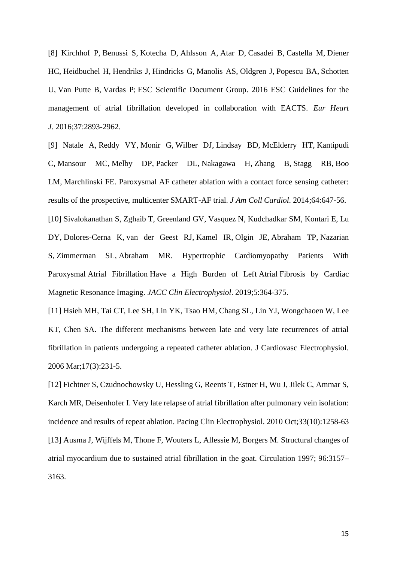[8] [Kirchhof P,](https://www.ncbi.nlm.nih.gov/pubmed/?term=Kirchhof%20P%5BAuthor%5D&cauthor=true&cauthor_uid=27567408) [Benussi S,](https://www.ncbi.nlm.nih.gov/pubmed/?term=Benussi%20S%5BAuthor%5D&cauthor=true&cauthor_uid=27567408) [Kotecha D,](https://www.ncbi.nlm.nih.gov/pubmed/?term=Kotecha%20D%5BAuthor%5D&cauthor=true&cauthor_uid=27567408) [Ahlsson A,](https://www.ncbi.nlm.nih.gov/pubmed/?term=Ahlsson%20A%5BAuthor%5D&cauthor=true&cauthor_uid=27567408) [Atar D,](https://www.ncbi.nlm.nih.gov/pubmed/?term=Atar%20D%5BAuthor%5D&cauthor=true&cauthor_uid=27567408) [Casadei B,](https://www.ncbi.nlm.nih.gov/pubmed/?term=Casadei%20B%5BAuthor%5D&cauthor=true&cauthor_uid=27567408) [Castella M,](https://www.ncbi.nlm.nih.gov/pubmed/?term=Castella%20M%5BAuthor%5D&cauthor=true&cauthor_uid=27567408) [Diener](https://www.ncbi.nlm.nih.gov/pubmed/?term=Diener%20HC%5BAuthor%5D&cauthor=true&cauthor_uid=27567408)  [HC,](https://www.ncbi.nlm.nih.gov/pubmed/?term=Diener%20HC%5BAuthor%5D&cauthor=true&cauthor_uid=27567408) [Heidbuchel H,](https://www.ncbi.nlm.nih.gov/pubmed/?term=Heidbuchel%20H%5BAuthor%5D&cauthor=true&cauthor_uid=27567408) [Hendriks J,](https://www.ncbi.nlm.nih.gov/pubmed/?term=Hendriks%20J%5BAuthor%5D&cauthor=true&cauthor_uid=27567408) [Hindricks G,](https://www.ncbi.nlm.nih.gov/pubmed/?term=Hindricks%20G%5BAuthor%5D&cauthor=true&cauthor_uid=27567408) [Manolis AS,](https://www.ncbi.nlm.nih.gov/pubmed/?term=Manolis%20AS%5BAuthor%5D&cauthor=true&cauthor_uid=27567408) [Oldgren J,](https://www.ncbi.nlm.nih.gov/pubmed/?term=Oldgren%20J%5BAuthor%5D&cauthor=true&cauthor_uid=27567408) [Popescu BA,](https://www.ncbi.nlm.nih.gov/pubmed/?term=Popescu%20BA%5BAuthor%5D&cauthor=true&cauthor_uid=27567408) [Schotten](https://www.ncbi.nlm.nih.gov/pubmed/?term=Schotten%20U%5BAuthor%5D&cauthor=true&cauthor_uid=27567408)  [U,](https://www.ncbi.nlm.nih.gov/pubmed/?term=Schotten%20U%5BAuthor%5D&cauthor=true&cauthor_uid=27567408) [Van Putte B,](https://www.ncbi.nlm.nih.gov/pubmed/?term=Van%20Putte%20B%5BAuthor%5D&cauthor=true&cauthor_uid=27567408) [Vardas P;](https://www.ncbi.nlm.nih.gov/pubmed/?term=Vardas%20P%5BAuthor%5D&cauthor=true&cauthor_uid=27567408) [ESC Scientific Document Group.](https://www.ncbi.nlm.nih.gov/pubmed/?term=ESC%20Scientific%20Document%20Group%5BCorporate%20Author%5D) 2016 ESC Guidelines for the management of atrial fibrillation developed in collaboration with EACTS. *[Eur Heart](https://www.ncbi.nlm.nih.gov/pubmed/27567408)  [J](https://www.ncbi.nlm.nih.gov/pubmed/27567408)*. 2016;37:2893-2962.

[9] [Natale A,](https://www.ncbi.nlm.nih.gov/pubmed/?term=Natale%20A%5BAuthor%5D&cauthor=true&cauthor_uid=25125294) [Reddy VY,](https://www.ncbi.nlm.nih.gov/pubmed/?term=Reddy%20VY%5BAuthor%5D&cauthor=true&cauthor_uid=25125294) [Monir G,](https://www.ncbi.nlm.nih.gov/pubmed/?term=Monir%20G%5BAuthor%5D&cauthor=true&cauthor_uid=25125294) [Wilber DJ,](https://www.ncbi.nlm.nih.gov/pubmed/?term=Wilber%20DJ%5BAuthor%5D&cauthor=true&cauthor_uid=25125294) [Lindsay BD,](https://www.ncbi.nlm.nih.gov/pubmed/?term=Lindsay%20BD%5BAuthor%5D&cauthor=true&cauthor_uid=25125294) [McElderry HT,](https://www.ncbi.nlm.nih.gov/pubmed/?term=McElderry%20HT%5BAuthor%5D&cauthor=true&cauthor_uid=25125294) [Kantipudi](https://www.ncbi.nlm.nih.gov/pubmed/?term=Kantipudi%20C%5BAuthor%5D&cauthor=true&cauthor_uid=25125294)  [C,](https://www.ncbi.nlm.nih.gov/pubmed/?term=Kantipudi%20C%5BAuthor%5D&cauthor=true&cauthor_uid=25125294) [Mansour MC,](https://www.ncbi.nlm.nih.gov/pubmed/?term=Mansour%20MC%5BAuthor%5D&cauthor=true&cauthor_uid=25125294) [Melby DP,](https://www.ncbi.nlm.nih.gov/pubmed/?term=Melby%20DP%5BAuthor%5D&cauthor=true&cauthor_uid=25125294) [Packer DL,](https://www.ncbi.nlm.nih.gov/pubmed/?term=Packer%20DL%5BAuthor%5D&cauthor=true&cauthor_uid=25125294) [Nakagawa H,](https://www.ncbi.nlm.nih.gov/pubmed/?term=Nakagawa%20H%5BAuthor%5D&cauthor=true&cauthor_uid=25125294) [Zhang B,](https://www.ncbi.nlm.nih.gov/pubmed/?term=Zhang%20B%5BAuthor%5D&cauthor=true&cauthor_uid=25125294) [Stagg RB,](https://www.ncbi.nlm.nih.gov/pubmed/?term=Stagg%20RB%5BAuthor%5D&cauthor=true&cauthor_uid=25125294) [Boo](https://www.ncbi.nlm.nih.gov/pubmed/?term=Boo%20LM%5BAuthor%5D&cauthor=true&cauthor_uid=25125294)  [LM,](https://www.ncbi.nlm.nih.gov/pubmed/?term=Boo%20LM%5BAuthor%5D&cauthor=true&cauthor_uid=25125294) [Marchlinski FE.](https://www.ncbi.nlm.nih.gov/pubmed/?term=Marchlinski%20FE%5BAuthor%5D&cauthor=true&cauthor_uid=25125294) Paroxysmal AF catheter ablation with a contact force sensing catheter: results of the prospective, multicenter SMART-AF trial. *J Am Coll Cardiol*. 2014;64:647-56. [10] [Sivalokanathan S,](https://www.ncbi.nlm.nih.gov/pubmed/?term=Sivalokanathan%20S%5BAuthor%5D&cauthor=true&cauthor_uid=30898240) [Zghaib T,](https://www.ncbi.nlm.nih.gov/pubmed/?term=Zghaib%20T%5BAuthor%5D&cauthor=true&cauthor_uid=30898240) [Greenland GV,](https://www.ncbi.nlm.nih.gov/pubmed/?term=Greenland%20GV%5BAuthor%5D&cauthor=true&cauthor_uid=30898240) [Vasquez N,](https://www.ncbi.nlm.nih.gov/pubmed/?term=Vasquez%20N%5BAuthor%5D&cauthor=true&cauthor_uid=30898240) [Kudchadkar SM,](https://www.ncbi.nlm.nih.gov/pubmed/?term=Kudchadkar%20SM%5BAuthor%5D&cauthor=true&cauthor_uid=30898240) [Kontari E,](https://www.ncbi.nlm.nih.gov/pubmed/?term=Kontari%20E%5BAuthor%5D&cauthor=true&cauthor_uid=30898240) [Lu](https://www.ncbi.nlm.nih.gov/pubmed/?term=Lu%20DY%5BAuthor%5D&cauthor=true&cauthor_uid=30898240)  [DY,](https://www.ncbi.nlm.nih.gov/pubmed/?term=Lu%20DY%5BAuthor%5D&cauthor=true&cauthor_uid=30898240) [Dolores-Cerna K,](https://www.ncbi.nlm.nih.gov/pubmed/?term=Dolores-Cerna%20K%5BAuthor%5D&cauthor=true&cauthor_uid=30898240) [van der Geest RJ,](https://www.ncbi.nlm.nih.gov/pubmed/?term=van%20der%20Geest%20RJ%5BAuthor%5D&cauthor=true&cauthor_uid=30898240) [Kamel IR,](https://www.ncbi.nlm.nih.gov/pubmed/?term=Kamel%20IR%5BAuthor%5D&cauthor=true&cauthor_uid=30898240) [Olgin JE,](https://www.ncbi.nlm.nih.gov/pubmed/?term=Olgin%20JE%5BAuthor%5D&cauthor=true&cauthor_uid=30898240) [Abraham TP,](https://www.ncbi.nlm.nih.gov/pubmed/?term=Abraham%20TP%5BAuthor%5D&cauthor=true&cauthor_uid=30898240) [Nazarian](https://www.ncbi.nlm.nih.gov/pubmed/?term=Nazarian%20S%5BAuthor%5D&cauthor=true&cauthor_uid=30898240)  [S,](https://www.ncbi.nlm.nih.gov/pubmed/?term=Nazarian%20S%5BAuthor%5D&cauthor=true&cauthor_uid=30898240) [Zimmerman SL,](https://www.ncbi.nlm.nih.gov/pubmed/?term=Zimmerman%20SL%5BAuthor%5D&cauthor=true&cauthor_uid=30898240) [Abraham MR.](https://www.ncbi.nlm.nih.gov/pubmed/?term=Abraham%20MR%5BAuthor%5D&cauthor=true&cauthor_uid=30898240) Hypertrophic Cardiomyopathy Patients With Paroxysmal Atrial Fibrillation Have a High Burden of Left Atrial Fibrosis by Cardiac Magnetic Resonance Imaging. *[JACC Clin Electrophysiol](https://www.ncbi.nlm.nih.gov/pubmed/30898240)*. 2019;5:364-375.

[11] Hsieh MH, Tai CT, Lee SH, Lin YK, Tsao HM, Chang SL, Lin YJ, Wongchaoen W, Lee KT, Chen SA. The different mechanisms between late and very late recurrences of atrial fibrillation in patients undergoing a repeated catheter ablation. J Cardiovasc Electrophysiol. 2006 Mar;17(3):231-5.

[12] Fichtner S, Czudnochowsky U, Hessling G, Reents T, Estner H, Wu J, Jilek C, Ammar S, Karch MR, Deisenhofer I. Very late relapse of atrial fibrillation after pulmonary vein isolation: incidence and results of repeat ablation. Pacing Clin Electrophysiol. 2010 Oct;33(10):1258-63 [13] Ausma J, Wijffels M, Thone F, Wouters L, Allessie M, Borgers M. Structural changes of atrial myocardium due to sustained atrial fibrillation in the goat. Circulation 1997; 96:3157– 3163.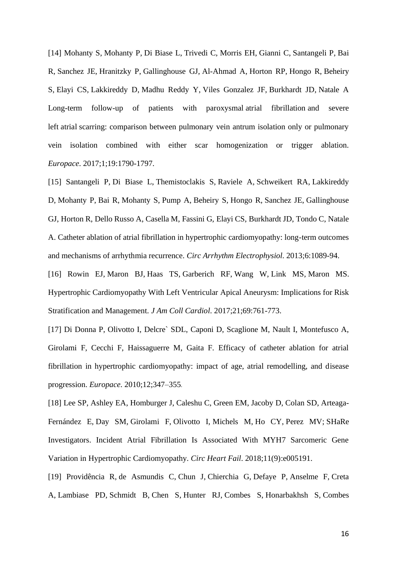[14] [Mohanty S,](https://www.ncbi.nlm.nih.gov/pubmed/?term=Mohanty%20S%5BAuthor%5D&cauthor=true&cauthor_uid=28039211) [Mohanty P,](https://www.ncbi.nlm.nih.gov/pubmed/?term=Mohanty%20P%5BAuthor%5D&cauthor=true&cauthor_uid=28039211) [Di Biase L,](https://www.ncbi.nlm.nih.gov/pubmed/?term=Di%20Biase%20L%5BAuthor%5D&cauthor=true&cauthor_uid=28039211) [Trivedi C,](https://www.ncbi.nlm.nih.gov/pubmed/?term=Trivedi%20C%5BAuthor%5D&cauthor=true&cauthor_uid=28039211) [Morris EH,](https://www.ncbi.nlm.nih.gov/pubmed/?term=Morris%20EH%5BAuthor%5D&cauthor=true&cauthor_uid=28039211) [Gianni C,](https://www.ncbi.nlm.nih.gov/pubmed/?term=Gianni%20C%5BAuthor%5D&cauthor=true&cauthor_uid=28039211) [Santangeli P,](https://www.ncbi.nlm.nih.gov/pubmed/?term=Santangeli%20P%5BAuthor%5D&cauthor=true&cauthor_uid=28039211) [Bai](https://www.ncbi.nlm.nih.gov/pubmed/?term=Bai%20R%5BAuthor%5D&cauthor=true&cauthor_uid=28039211)  [R,](https://www.ncbi.nlm.nih.gov/pubmed/?term=Bai%20R%5BAuthor%5D&cauthor=true&cauthor_uid=28039211) [Sanchez JE,](https://www.ncbi.nlm.nih.gov/pubmed/?term=Sanchez%20JE%5BAuthor%5D&cauthor=true&cauthor_uid=28039211) [Hranitzky P,](https://www.ncbi.nlm.nih.gov/pubmed/?term=Hranitzky%20P%5BAuthor%5D&cauthor=true&cauthor_uid=28039211) [Gallinghouse GJ,](https://www.ncbi.nlm.nih.gov/pubmed/?term=Gallinghouse%20GJ%5BAuthor%5D&cauthor=true&cauthor_uid=28039211) [Al-Ahmad A,](https://www.ncbi.nlm.nih.gov/pubmed/?term=Al-Ahmad%20A%5BAuthor%5D&cauthor=true&cauthor_uid=28039211) [Horton RP,](https://www.ncbi.nlm.nih.gov/pubmed/?term=Horton%20RP%5BAuthor%5D&cauthor=true&cauthor_uid=28039211) [Hongo R,](https://www.ncbi.nlm.nih.gov/pubmed/?term=Hongo%20R%5BAuthor%5D&cauthor=true&cauthor_uid=28039211) [Beheiry](https://www.ncbi.nlm.nih.gov/pubmed/?term=Beheiry%20S%5BAuthor%5D&cauthor=true&cauthor_uid=28039211)  [S,](https://www.ncbi.nlm.nih.gov/pubmed/?term=Beheiry%20S%5BAuthor%5D&cauthor=true&cauthor_uid=28039211) [Elayi CS,](https://www.ncbi.nlm.nih.gov/pubmed/?term=Elayi%20CS%5BAuthor%5D&cauthor=true&cauthor_uid=28039211) [Lakkireddy D,](https://www.ncbi.nlm.nih.gov/pubmed/?term=Lakkireddy%20D%5BAuthor%5D&cauthor=true&cauthor_uid=28039211) [Madhu Reddy Y,](https://www.ncbi.nlm.nih.gov/pubmed/?term=Madhu%20Reddy%20Y%5BAuthor%5D&cauthor=true&cauthor_uid=28039211) [Viles Gonzalez JF,](https://www.ncbi.nlm.nih.gov/pubmed/?term=Viles%20Gonzalez%20JF%5BAuthor%5D&cauthor=true&cauthor_uid=28039211) [Burkhardt JD,](https://www.ncbi.nlm.nih.gov/pubmed/?term=Burkhardt%20JD%5BAuthor%5D&cauthor=true&cauthor_uid=28039211) [Natale A](https://www.ncbi.nlm.nih.gov/pubmed/?term=Natale%20A%5BAuthor%5D&cauthor=true&cauthor_uid=28039211) Long-term follow-up of patients with paroxysmal atrial fibrillation and severe left atrial scarring: comparison between pulmonary vein antrum isolation only or pulmonary vein isolation combined with either scar homogenization or trigger ablation. *[Europace](https://www.ncbi.nlm.nih.gov/pubmed/28039211)*. 2017;1;19:1790-1797.

[15] [Santangeli P,](https://www.ncbi.nlm.nih.gov/pubmed/?term=Santangeli%20P%5BAuthor%5D&cauthor=true&cauthor_uid=24114776) [Di Biase L,](https://www.ncbi.nlm.nih.gov/pubmed/?term=Di%20Biase%20L%5BAuthor%5D&cauthor=true&cauthor_uid=24114776) [Themistoclakis S,](https://www.ncbi.nlm.nih.gov/pubmed/?term=Themistoclakis%20S%5BAuthor%5D&cauthor=true&cauthor_uid=24114776) [Raviele A,](https://www.ncbi.nlm.nih.gov/pubmed/?term=Raviele%20A%5BAuthor%5D&cauthor=true&cauthor_uid=24114776) [Schweikert RA,](https://www.ncbi.nlm.nih.gov/pubmed/?term=Schweikert%20RA%5BAuthor%5D&cauthor=true&cauthor_uid=24114776) [Lakkireddy](https://www.ncbi.nlm.nih.gov/pubmed/?term=Lakkireddy%20D%5BAuthor%5D&cauthor=true&cauthor_uid=24114776)  [D,](https://www.ncbi.nlm.nih.gov/pubmed/?term=Lakkireddy%20D%5BAuthor%5D&cauthor=true&cauthor_uid=24114776) [Mohanty P,](https://www.ncbi.nlm.nih.gov/pubmed/?term=Mohanty%20P%5BAuthor%5D&cauthor=true&cauthor_uid=24114776) [Bai R,](https://www.ncbi.nlm.nih.gov/pubmed/?term=Bai%20R%5BAuthor%5D&cauthor=true&cauthor_uid=24114776) [Mohanty S,](https://www.ncbi.nlm.nih.gov/pubmed/?term=Mohanty%20S%5BAuthor%5D&cauthor=true&cauthor_uid=24114776) [Pump A,](https://www.ncbi.nlm.nih.gov/pubmed/?term=Pump%20A%5BAuthor%5D&cauthor=true&cauthor_uid=24114776) [Beheiry S,](https://www.ncbi.nlm.nih.gov/pubmed/?term=Beheiry%20S%5BAuthor%5D&cauthor=true&cauthor_uid=24114776) [Hongo R,](https://www.ncbi.nlm.nih.gov/pubmed/?term=Hongo%20R%5BAuthor%5D&cauthor=true&cauthor_uid=24114776) [Sanchez JE,](https://www.ncbi.nlm.nih.gov/pubmed/?term=Sanchez%20JE%5BAuthor%5D&cauthor=true&cauthor_uid=24114776) [Gallinghouse](https://www.ncbi.nlm.nih.gov/pubmed/?term=Gallinghouse%20GJ%5BAuthor%5D&cauthor=true&cauthor_uid=24114776)  [GJ,](https://www.ncbi.nlm.nih.gov/pubmed/?term=Gallinghouse%20GJ%5BAuthor%5D&cauthor=true&cauthor_uid=24114776) [Horton R,](https://www.ncbi.nlm.nih.gov/pubmed/?term=Horton%20R%5BAuthor%5D&cauthor=true&cauthor_uid=24114776) [Dello Russo A,](https://www.ncbi.nlm.nih.gov/pubmed/?term=Dello%20Russo%20A%5BAuthor%5D&cauthor=true&cauthor_uid=24114776) [Casella M,](https://www.ncbi.nlm.nih.gov/pubmed/?term=Casella%20M%5BAuthor%5D&cauthor=true&cauthor_uid=24114776) [Fassini G,](https://www.ncbi.nlm.nih.gov/pubmed/?term=Fassini%20G%5BAuthor%5D&cauthor=true&cauthor_uid=24114776) [Elayi CS,](https://www.ncbi.nlm.nih.gov/pubmed/?term=Elayi%20CS%5BAuthor%5D&cauthor=true&cauthor_uid=24114776) [Burkhardt JD,](https://www.ncbi.nlm.nih.gov/pubmed/?term=Burkhardt%20JD%5BAuthor%5D&cauthor=true&cauthor_uid=24114776) [Tondo C,](https://www.ncbi.nlm.nih.gov/pubmed/?term=Tondo%20C%5BAuthor%5D&cauthor=true&cauthor_uid=24114776) [Natale](https://www.ncbi.nlm.nih.gov/pubmed/?term=Natale%20A%5BAuthor%5D&cauthor=true&cauthor_uid=24114776)  [A.](https://www.ncbi.nlm.nih.gov/pubmed/?term=Natale%20A%5BAuthor%5D&cauthor=true&cauthor_uid=24114776) Catheter ablation of atrial fibrillation in hypertrophic cardiomyopathy: long-term outcomes and mechanisms of arrhythmia recurrence. *[Circ Arrhythm Electrophysiol](https://www.ncbi.nlm.nih.gov/pubmed/24114776)*. 2013;6:1089-94.

[16] [Rowin EJ,](https://www.ncbi.nlm.nih.gov/pubmed/?term=Rowin%20EJ%5BAuthor%5D&cauthor=true&cauthor_uid=28209216) [Maron BJ,](https://www.ncbi.nlm.nih.gov/pubmed/?term=Maron%20BJ%5BAuthor%5D&cauthor=true&cauthor_uid=28209216) [Haas TS,](https://www.ncbi.nlm.nih.gov/pubmed/?term=Haas%20TS%5BAuthor%5D&cauthor=true&cauthor_uid=28209216) [Garberich RF,](https://www.ncbi.nlm.nih.gov/pubmed/?term=Garberich%20RF%5BAuthor%5D&cauthor=true&cauthor_uid=28209216) [Wang W,](https://www.ncbi.nlm.nih.gov/pubmed/?term=Wang%20W%5BAuthor%5D&cauthor=true&cauthor_uid=28209216) [Link MS,](https://www.ncbi.nlm.nih.gov/pubmed/?term=Link%20MS%5BAuthor%5D&cauthor=true&cauthor_uid=28209216) [Maron MS.](https://www.ncbi.nlm.nih.gov/pubmed/?term=Maron%20MS%5BAuthor%5D&cauthor=true&cauthor_uid=28209216) Hypertrophic Cardiomyopathy With Left Ventricular Apical Aneurysm: Implications for Risk Stratification and Management. *[J Am Coll Cardiol](https://www.ncbi.nlm.nih.gov/pubmed/28209216)*. 2017;21;69:761-773.

[17] Di Donna P, Olivotto I, Delcre` SDL, Caponi D, Scaglione M, Nault I, Montefusco A, Girolami F, Cecchi F, Haissaguerre M, Gaita F. Efficacy of catheter ablation for atrial fibrillation in hypertrophic cardiomyopathy: impact of age, atrial remodelling, and disease progression. *Europace*. 2010;12;347–355.

[18] [Lee SP,](https://www.ncbi.nlm.nih.gov/pubmed/?term=Lee%20SP%5BAuthor%5D&cauthor=true&cauthor_uid=30354366) [Ashley EA,](https://www.ncbi.nlm.nih.gov/pubmed/?term=Ashley%20EA%5BAuthor%5D&cauthor=true&cauthor_uid=30354366) [Homburger J,](https://www.ncbi.nlm.nih.gov/pubmed/?term=Homburger%20J%5BAuthor%5D&cauthor=true&cauthor_uid=30354366) [Caleshu C,](https://www.ncbi.nlm.nih.gov/pubmed/?term=Caleshu%20C%5BAuthor%5D&cauthor=true&cauthor_uid=30354366) [Green EM,](https://www.ncbi.nlm.nih.gov/pubmed/?term=Green%20EM%5BAuthor%5D&cauthor=true&cauthor_uid=30354366) [Jacoby D,](https://www.ncbi.nlm.nih.gov/pubmed/?term=Jacoby%20D%5BAuthor%5D&cauthor=true&cauthor_uid=30354366) [Colan SD,](https://www.ncbi.nlm.nih.gov/pubmed/?term=Colan%20SD%5BAuthor%5D&cauthor=true&cauthor_uid=30354366) [Arteaga-](https://www.ncbi.nlm.nih.gov/pubmed/?term=Arteaga-Fern%C3%A1ndez%20E%5BAuthor%5D&cauthor=true&cauthor_uid=30354366)[Fernández E,](https://www.ncbi.nlm.nih.gov/pubmed/?term=Arteaga-Fern%C3%A1ndez%20E%5BAuthor%5D&cauthor=true&cauthor_uid=30354366) [Day SM,](https://www.ncbi.nlm.nih.gov/pubmed/?term=Day%20SM%5BAuthor%5D&cauthor=true&cauthor_uid=30354366) [Girolami F,](https://www.ncbi.nlm.nih.gov/pubmed/?term=Girolami%20F%5BAuthor%5D&cauthor=true&cauthor_uid=30354366) [Olivotto I,](https://www.ncbi.nlm.nih.gov/pubmed/?term=Olivotto%20I%5BAuthor%5D&cauthor=true&cauthor_uid=30354366) [Michels M,](https://www.ncbi.nlm.nih.gov/pubmed/?term=Michels%20M%5BAuthor%5D&cauthor=true&cauthor_uid=30354366) [Ho CY,](https://www.ncbi.nlm.nih.gov/pubmed/?term=Ho%20CY%5BAuthor%5D&cauthor=true&cauthor_uid=30354366) [Perez MV;](https://www.ncbi.nlm.nih.gov/pubmed/?term=Perez%20MV%5BAuthor%5D&cauthor=true&cauthor_uid=30354366) [SHaRe](https://www.ncbi.nlm.nih.gov/pubmed/?term=SHaRe%20Investigators%5BCorporate%20Author%5D)  [Investigators.](https://www.ncbi.nlm.nih.gov/pubmed/?term=SHaRe%20Investigators%5BCorporate%20Author%5D) Incident Atrial Fibrillation Is Associated With MYH7 Sarcomeric Gene Variation in Hypertrophic Cardiomyopathy. *[Circ Heart Fail](https://www.ncbi.nlm.nih.gov/pubmed/30354366)*. 2018;11(9):e005191.

[19] [Providência R,](https://www.ncbi.nlm.nih.gov/pubmed/?term=Provid%C3%AAncia%20R%5BAuthor%5D&cauthor=true&cauthor_uid=31190350) [de Asmundis C,](https://www.ncbi.nlm.nih.gov/pubmed/?term=de%20Asmundis%20C%5BAuthor%5D&cauthor=true&cauthor_uid=31190350) [Chun J,](https://www.ncbi.nlm.nih.gov/pubmed/?term=Chun%20J%5BAuthor%5D&cauthor=true&cauthor_uid=31190350) [Chierchia G,](https://www.ncbi.nlm.nih.gov/pubmed/?term=Chierchia%20G%5BAuthor%5D&cauthor=true&cauthor_uid=31190350) [Defaye P,](https://www.ncbi.nlm.nih.gov/pubmed/?term=Defaye%20P%5BAuthor%5D&cauthor=true&cauthor_uid=31190350) [Anselme F,](https://www.ncbi.nlm.nih.gov/pubmed/?term=Anselme%20F%5BAuthor%5D&cauthor=true&cauthor_uid=31190350) [Creta](https://www.ncbi.nlm.nih.gov/pubmed/?term=Creta%20A%5BAuthor%5D&cauthor=true&cauthor_uid=31190350)  [A,](https://www.ncbi.nlm.nih.gov/pubmed/?term=Creta%20A%5BAuthor%5D&cauthor=true&cauthor_uid=31190350) [Lambiase PD,](https://www.ncbi.nlm.nih.gov/pubmed/?term=Lambiase%20PD%5BAuthor%5D&cauthor=true&cauthor_uid=31190350) [Schmidt B,](https://www.ncbi.nlm.nih.gov/pubmed/?term=Schmidt%20B%5BAuthor%5D&cauthor=true&cauthor_uid=31190350) [Chen S,](https://www.ncbi.nlm.nih.gov/pubmed/?term=Chen%20S%5BAuthor%5D&cauthor=true&cauthor_uid=31190350) [Hunter RJ,](https://www.ncbi.nlm.nih.gov/pubmed/?term=Hunter%20RJ%5BAuthor%5D&cauthor=true&cauthor_uid=31190350) [Combes S,](https://www.ncbi.nlm.nih.gov/pubmed/?term=Combes%20S%5BAuthor%5D&cauthor=true&cauthor_uid=31190350) [Honarbakhsh S,](https://www.ncbi.nlm.nih.gov/pubmed/?term=Honarbakhsh%20S%5BAuthor%5D&cauthor=true&cauthor_uid=31190350) [Combes](https://www.ncbi.nlm.nih.gov/pubmed/?term=Combes%20N%5BAuthor%5D&cauthor=true&cauthor_uid=31190350) 

16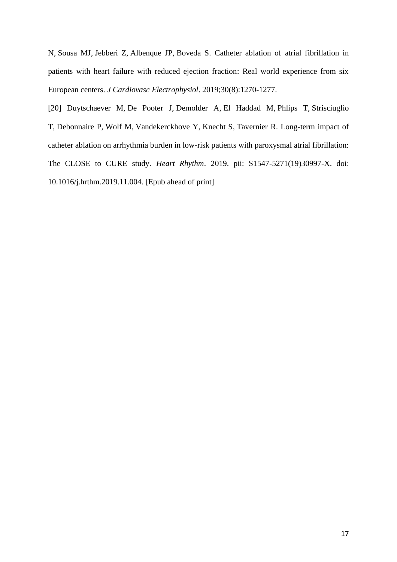[N,](https://www.ncbi.nlm.nih.gov/pubmed/?term=Combes%20N%5BAuthor%5D&cauthor=true&cauthor_uid=31190350) [Sousa MJ,](https://www.ncbi.nlm.nih.gov/pubmed/?term=Sousa%20MJ%5BAuthor%5D&cauthor=true&cauthor_uid=31190350) [Jebberi Z,](https://www.ncbi.nlm.nih.gov/pubmed/?term=Jebberi%20Z%5BAuthor%5D&cauthor=true&cauthor_uid=31190350) [Albenque JP,](https://www.ncbi.nlm.nih.gov/pubmed/?term=Albenque%20JP%5BAuthor%5D&cauthor=true&cauthor_uid=31190350) [Boveda S.](https://www.ncbi.nlm.nih.gov/pubmed/?term=Boveda%20S%5BAuthor%5D&cauthor=true&cauthor_uid=31190350) Catheter ablation of atrial fibrillation in patients with heart failure with reduced ejection fraction: Real world experience from six European centers. *[J Cardiovasc Electrophysiol](https://www.ncbi.nlm.nih.gov/pubmed/31190350/?ncbi_mmode=std)*. 2019;30(8):1270-1277.

[20] [Duytschaever M,](https://www.ncbi.nlm.nih.gov/pubmed/?term=Duytschaever%20M%5BAuthor%5D&cauthor=true&cauthor_uid=31707159) [De Pooter J,](https://www.ncbi.nlm.nih.gov/pubmed/?term=De%20Pooter%20J%5BAuthor%5D&cauthor=true&cauthor_uid=31707159) [Demolder A,](https://www.ncbi.nlm.nih.gov/pubmed/?term=Demolder%20A%5BAuthor%5D&cauthor=true&cauthor_uid=31707159) [El Haddad M,](https://www.ncbi.nlm.nih.gov/pubmed/?term=El%20Haddad%20M%5BAuthor%5D&cauthor=true&cauthor_uid=31707159) [Phlips T,](https://www.ncbi.nlm.nih.gov/pubmed/?term=Phlips%20T%5BAuthor%5D&cauthor=true&cauthor_uid=31707159) [Strisciuglio](https://www.ncbi.nlm.nih.gov/pubmed/?term=Strisciuglio%20T%5BAuthor%5D&cauthor=true&cauthor_uid=31707159)  [T,](https://www.ncbi.nlm.nih.gov/pubmed/?term=Strisciuglio%20T%5BAuthor%5D&cauthor=true&cauthor_uid=31707159) [Debonnaire P,](https://www.ncbi.nlm.nih.gov/pubmed/?term=Debonnaire%20P%5BAuthor%5D&cauthor=true&cauthor_uid=31707159) [Wolf M,](https://www.ncbi.nlm.nih.gov/pubmed/?term=Wolf%20M%5BAuthor%5D&cauthor=true&cauthor_uid=31707159) [Vandekerckhove Y,](https://www.ncbi.nlm.nih.gov/pubmed/?term=Vandekerckhove%20Y%5BAuthor%5D&cauthor=true&cauthor_uid=31707159) [Knecht S,](https://www.ncbi.nlm.nih.gov/pubmed/?term=Knecht%20S%5BAuthor%5D&cauthor=true&cauthor_uid=31707159) [Tavernier R.](https://www.ncbi.nlm.nih.gov/pubmed/?term=Tavernier%20R%5BAuthor%5D&cauthor=true&cauthor_uid=31707159) [Long-term impact of](https://www.ncbi.nlm.nih.gov/pubmed/31707159)  [catheter ablation on arrhythmia burden in low-risk patients with paroxysmal atrial fibrillation:](https://www.ncbi.nlm.nih.gov/pubmed/31707159)  [The CLOSE to CURE study.](https://www.ncbi.nlm.nih.gov/pubmed/31707159) *Heart Rhythm*. 2019. pii: S1547-5271(19)30997-X. doi: 10.1016/j.hrthm.2019.11.004. [Epub ahead of print]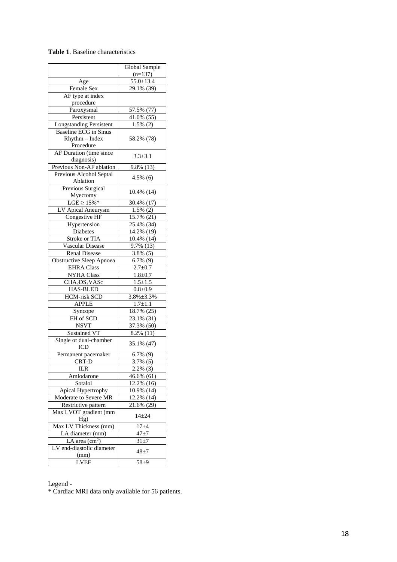#### **Table 1**. Baseline characteristic s

|                                       | Global Sample            |  |  |
|---------------------------------------|--------------------------|--|--|
|                                       | $(n=137)$                |  |  |
| Age                                   | $55.0 \pm 13.4$          |  |  |
| <b>Female Sex</b>                     | 29.1% (39)               |  |  |
| AF type at index                      |                          |  |  |
| procedure                             |                          |  |  |
| Paroxysmal                            | 57.5% (77)               |  |  |
| Persistent                            | $41.0\%$ (55)            |  |  |
| <b>Longstanding Persistent</b>        | $1.5\%$ (2)              |  |  |
| <b>Baseline ECG</b> in Sinus          |                          |  |  |
| $R$ hythm $-$ Index                   | 58.2% (78)               |  |  |
| Procedure                             |                          |  |  |
| AF Duration (time since               | $3.3 \pm 3.1$            |  |  |
| diagnosis)                            |                          |  |  |
| Previous Non-AF ablation              | 9.8% (13)                |  |  |
| Previous Alcohol Septal               | $4.5\%$ (6)              |  |  |
| Ablation                              |                          |  |  |
| Previous Surgical                     | 10.4% (14)               |  |  |
| Myectomy                              |                          |  |  |
| $LGE \geq 15\%$ *                     | 30.4% (17)               |  |  |
| LV Apical Aneurysm                    | $1.5\%$ (2)              |  |  |
| Congestive HF                         | $15.7\%$ (21)            |  |  |
| Hypertension                          | $25.4\%$ (34)            |  |  |
| Diabetes                              | 14.2% (19)               |  |  |
| Stroke or TIA                         | 10.4% (14)               |  |  |
| <b>Vascular Disease</b>               | 9.7% (13)                |  |  |
| <b>Renal Disease</b>                  | $3.8\%$ (5)              |  |  |
| <b>Obstructive Sleep Apnoea</b>       | $\overline{6.7\%}$ (9)   |  |  |
| <b>EHRA</b> Class                     | $2.7 \pm 0.7$            |  |  |
| <b>NYHA Class</b>                     | $1.8 \pm 0.7$            |  |  |
| CHA <sub>2</sub> DS <sub>2</sub> VASc | $1.5 \pm 1.5$            |  |  |
| <b>HAS-BLED</b>                       | $0.8 + 0.9$              |  |  |
| <b>HCM-risk SCD</b>                   | $3.8\% \pm 3.3\%$        |  |  |
| <b>APPLE</b>                          | $1.7 + 1.1$              |  |  |
| Syncope                               | 18.7% (25)               |  |  |
| FH of SCD                             | 23.1% (31)               |  |  |
| <b>NSVT</b>                           | $\overline{37.3\%}$ (50) |  |  |
| <b>Sustained VT</b>                   | 8.2% (11)                |  |  |
| Single or dual-chamber                |                          |  |  |
| ICD                                   | 35.1% (47)               |  |  |
| Permanent pacemaker                   | $6.7\%$ (9)              |  |  |
| CRT-D                                 | 3.7% (5)                 |  |  |
| ILR                                   | $2.2\%$ (3)              |  |  |
| Amiodarone                            | 46.6% (61)               |  |  |
| Sotalol                               | 12.2% (16)               |  |  |
| Apical Hypertrophy                    | 10.9% (14)               |  |  |
| Moderate to Severe MR                 | 12.2% (14)               |  |  |
| Restrictive pattern                   | 21.6% (29)               |  |  |
| Max LVOT gradient (mm                 | $14 + 24$                |  |  |
| Hg)                                   |                          |  |  |
| Max LV Thickness (mm)                 | $17 + 4$                 |  |  |
| LA diameter (mm)                      | $47 + 7$                 |  |  |
| LA area $(cm2)$                       | $31\pm7$                 |  |  |
| LV end-diastolic diameter<br>(mm)     | 48±7                     |  |  |
| <b>LVEF</b>                           | 58±9                     |  |  |
|                                       |                          |  |  |

Legend -

\* Cardiac MRI data only available for 56 patients.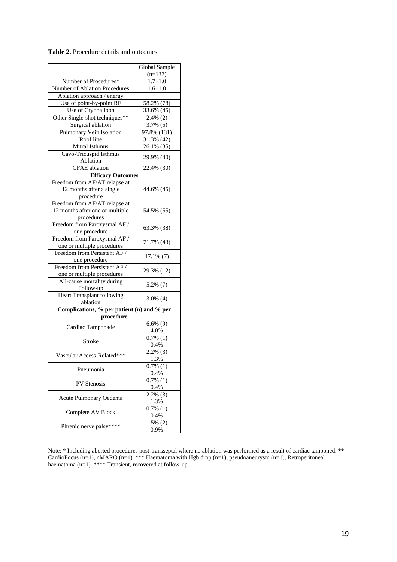|                                            | Global Sample       |  |  |  |  |
|--------------------------------------------|---------------------|--|--|--|--|
|                                            | $(n=137)$           |  |  |  |  |
| Number of Procedures*                      | $1.7 + 1.0$         |  |  |  |  |
| Number of Ablation Procedures              | $1.6 + 1.0$         |  |  |  |  |
| Ablation approach / energy                 |                     |  |  |  |  |
| Use of point-by-point RF                   | 58.2% (78)          |  |  |  |  |
| Use of Cryoballoon                         | 33.6% (45)          |  |  |  |  |
| Other Single-shot techniques**             | $2.4\%$ (2)         |  |  |  |  |
| Surgical ablation                          | 3.7% (5)            |  |  |  |  |
| Pulmonary Vein Isolation                   | 97.8% (131)         |  |  |  |  |
| Roof line                                  | 31.3% (42)          |  |  |  |  |
| Mitral Isthmus                             | $26.1\%$ (35)       |  |  |  |  |
| Cavo-Tricuspid Isthmus                     |                     |  |  |  |  |
| Ablation                                   | 29.9% (40)          |  |  |  |  |
| <b>CFAE</b> ablation                       | 22.4% (30)          |  |  |  |  |
| <b>Efficacy Outcomes</b>                   |                     |  |  |  |  |
| Freedom from AF/AT relapse at              |                     |  |  |  |  |
| 12 months after a single                   | 44.6% (45)          |  |  |  |  |
| procedure                                  |                     |  |  |  |  |
| Freedom from AF/AT relapse at              |                     |  |  |  |  |
| 12 months after one or multiple            | 54.5% (55)          |  |  |  |  |
| procedures                                 |                     |  |  |  |  |
| Freedom from Paroxysmal AF /               |                     |  |  |  |  |
| one procedure                              | 63.3% (38)          |  |  |  |  |
| Freedom from Paroxysmal AF /               |                     |  |  |  |  |
| one or multiple procedures                 | 71.7% (43)          |  |  |  |  |
| Freedom from Persistent AF /               |                     |  |  |  |  |
| one procedure                              | $17.1\%$ (7)        |  |  |  |  |
| Freedom from Persistent AF /               | 29.3% (12)          |  |  |  |  |
| one or multiple procedures                 |                     |  |  |  |  |
| All-cause mortality during                 | 5.2% (7)            |  |  |  |  |
| Follow-up                                  |                     |  |  |  |  |
| <b>Heart Transplant following</b>          | $3.0\%$ (4)         |  |  |  |  |
| ablation                                   |                     |  |  |  |  |
| Complications, % per patient (n) and % per |                     |  |  |  |  |
| procedure                                  |                     |  |  |  |  |
| Cardiac Tamponade                          | $6.6\%$ (9)<br>4.0% |  |  |  |  |
|                                            | $0.7\%$ (1)         |  |  |  |  |
| Stroke                                     | 0.4%                |  |  |  |  |
|                                            | $2.2\%$ (3)         |  |  |  |  |
| Vascular Access-Related***                 | 1.3%                |  |  |  |  |
|                                            | $0.7\%$ (1)         |  |  |  |  |
| Pneumonia                                  | 0.4%                |  |  |  |  |
|                                            | $0.7\%$ (1)         |  |  |  |  |
| <b>PV</b> Stenosis                         | 0.4%                |  |  |  |  |
|                                            | $2.2\%$ (3)         |  |  |  |  |
| Acute Pulmonary Oedema                     | 1.3%                |  |  |  |  |
|                                            | $0.7\%$ (1)         |  |  |  |  |
| Complete AV Block                          | 0.4%                |  |  |  |  |
| Phrenic nerve palsy****                    | $1.5\%$ (2)         |  |  |  |  |
|                                            | 0.9%                |  |  |  |  |

### **Table 2.** Procedure details and outcomes

Note: \* Including aborted procedures post-transseptal where no ablation was performed as a result of cardiac tamponed. \*\* CardioFocus (n=1), nMARQ (n=1). \*\*\* Haematoma with Hgb drop (n=1), pseudoaneurysm (n=1), Retroperitoneal haematoma (n=1). \*\*\*\* Transient, recovered at follow-up.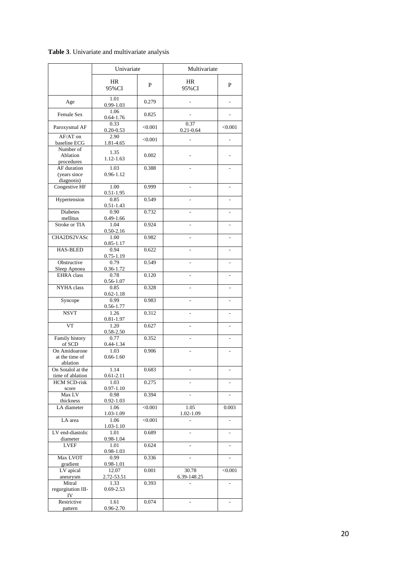## **Table 3**. Univariate and multivariate analysis

|                                             | Univariate            |         | Multivariate          |                |
|---------------------------------------------|-----------------------|---------|-----------------------|----------------|
|                                             | <b>HR</b><br>95%CI    | P       | <b>HR</b><br>95%CI    | P              |
| Age                                         | 1.01<br>$0.99 - 1.03$ | 0.279   |                       |                |
| Female Sex                                  | 1.06<br>$0.64 - 1.76$ | 0.825   |                       |                |
| Paroxysmal AF                               | 0.33<br>$0.20 - 0.53$ | < 0.001 | 0.37<br>$0.21 - 0.64$ | < 0.001        |
| AF/AT on<br>baseline ECG                    | 2.90<br>1.81-4.65     | < 0.001 |                       |                |
| Number of<br>Ablation<br>procedures         | 1.35<br>1.12-1.63     | 0.002   |                       |                |
| AF duration<br>(years since<br>diagnosis)   | 1.03<br>0.96-1.12     | 0.388   |                       |                |
| Congestive HF                               | 1.00<br>$0.51 - 1.95$ | 0.999   |                       |                |
| Hypertension                                | 0.85<br>$0.51 - 1.43$ | 0.549   |                       |                |
| <b>Diabetes</b><br>mellitus                 | 0.90<br>0.49-1.66     | 0.732   |                       | $\overline{a}$ |
| <b>Stroke or TIA</b>                        | 1.04<br>$0.50 - 2.16$ | 0.924   |                       |                |
| CHA2DS2VASc                                 | 1.00<br>0.85-1.17     | 0.982   |                       |                |
| <b>HAS-BLED</b>                             | 0.94<br>$0.75 - 1.19$ | 0.622   |                       |                |
| Obstructive<br>Sleep Apnoea                 | 0.79<br>0.36-1.72     | 0.549   |                       | $\overline{a}$ |
| <b>EHRA</b> class                           | 0.78<br>$0.56 - 1.07$ | 0.120   |                       | $\overline{a}$ |
| <b>NYHA</b> class                           | 0.85<br>$0.62 - 1.18$ | 0.328   |                       | ÷              |
| Syncope                                     | 0.99<br>0.56-1.77     | 0.983   | $\overline{a}$        | $\overline{a}$ |
| <b>NSVT</b>                                 | 1.26<br>$0.81 - 1.97$ | 0.312   |                       |                |
| VT                                          | 1.20<br>0.58-2.50     | 0.627   |                       | L.             |
| Family history<br>of SCD                    | 0.77<br>$0.44 - 1.34$ | 0.352   |                       | $\overline{a}$ |
| On Amidoarone<br>at the time of<br>ablation | 1.03<br>$0.66 - 1.60$ | 0.906   |                       |                |
| On Sotalol at the<br>time of ablation       | 1.14<br>$0.61 - 2.11$ | 0.683   |                       |                |
| <b>HCM SCD-risk</b><br>score                | 1.03<br>$0.97 - 1.10$ | 0.275   |                       |                |
| Max LV<br>thickness                         | 0.98<br>$0.92 - 1.03$ | 0.394   |                       |                |
| LA diameter                                 | 1.06<br>1.03-1.09     | < 0.001 | 1.05<br>1.02-1.09     | 0.003          |
| LA area                                     | 1.06<br>1.03-1.10     | < 0.001 |                       |                |
| LV end-diastolic<br>diameter                | 1.01<br>0.98-1.04     | 0.689   |                       | $\overline{a}$ |
| <b>LVEF</b>                                 | 1.01<br>$0.98 - 1.03$ | 0.624   |                       |                |
| Max LVOT<br>gradient                        | 0.99<br>0.98-1.01     | 0.336   |                       | $\overline{a}$ |
| LV apical<br>aneurysm                       | 12.07<br>2.72-53.51   | 0.001   | 30.78<br>6.39-148.25  | < 0.001        |
| Mitral<br>regurgitation III-<br>IV          | 1.33<br>$0.69 - 2.53$ | 0.393   |                       |                |
| Restrictive<br>pattern                      | 1.61<br>0.96-2.70     | 0.074   |                       |                |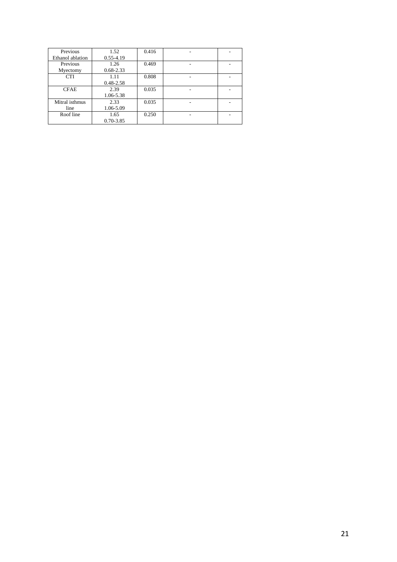| Previous         | 1.52          | 0.416 |   |  |
|------------------|---------------|-------|---|--|
| Ethanol ablation | $0.55 - 4.19$ |       |   |  |
| Previous         | 1.26          | 0.469 |   |  |
| Myectomy         | $0.68 - 2.33$ |       |   |  |
| <b>CTI</b>       | 1.11          | 0.808 |   |  |
|                  | $0.48 - 2.58$ |       |   |  |
| <b>CFAE</b>      | 2.39          | 0.035 |   |  |
|                  | 1.06-5.38     |       |   |  |
| Mitral isthmus   | 2.33          | 0.035 | ۰ |  |
| line             | 1.06-5.09     |       |   |  |
| Roof line        | 1.65          | 0.250 |   |  |
|                  | $0.70 - 3.85$ |       |   |  |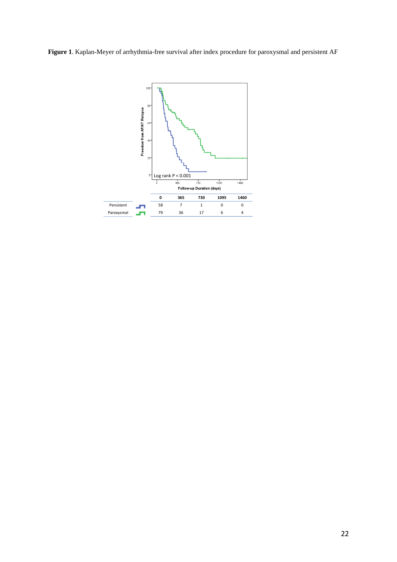**Figure 1**. Kaplan-Meyer of arrhythmia-free survival after index procedure for paroxysmal and persistent AF

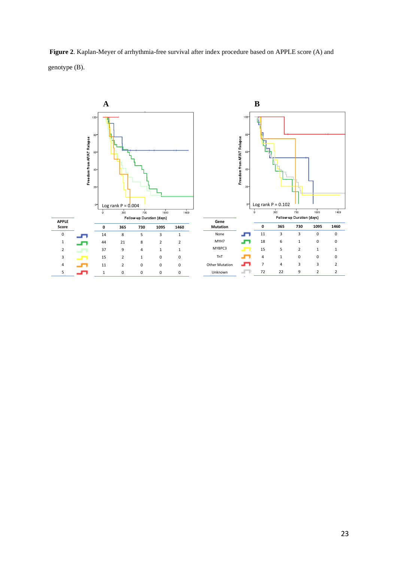

Other Mutation Unknown

11 2 0 0 0 1 0 0 0 0

5

**Figure 2**. Kaplan-Meyer of arrhythmia-free survival after index procedure based on APPLE score (A) and genotype (B).

7 4 3 3 2 72 22 9 2 2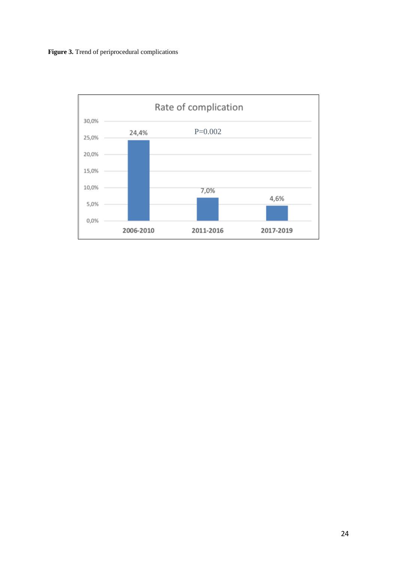

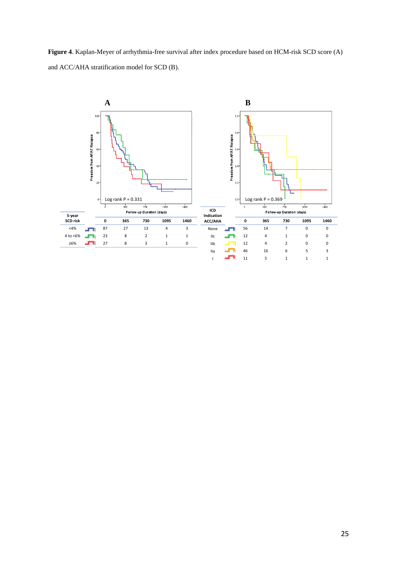**Figure 4**. Kaplan-Meyer of arrhythmia-free survival after index procedure based on HCM-risk SCD score (A) and ACC/AHA stratification model for SCD (B).